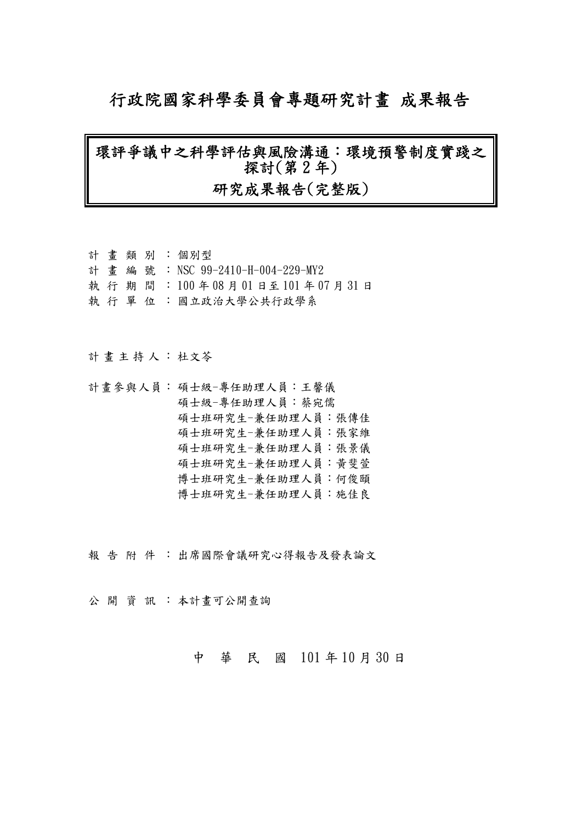# 行政院國家科學委員會專題研究計畫 成果報告

# 環評爭議中之科學評估與風險溝通:環境預警制度實踐之 探討(第 2 年)

### 研究成果報告(完整版)

|  |  | 計畫類別:個別型                        |
|--|--|---------------------------------|
|  |  | 計畫編號: NSC 99-2410-H-004-229-MY2 |
|  |  | 執行期間:100年08月01日至101年07月31日      |
|  |  | 執 行 單 位 : 國立政治大學公共行政學系          |
|  |  |                                 |

計畫主持人: 杜文苓

計畫參與人員: 碩士級-專任助理人員:王馨儀 碩士級-專任助理人員:蔡宛儒 碩士班研究生-兼任助理人員:張傳佳 碩士班研究生-兼任助理人員:張家維 碩士班研究生-兼任助理人員:張景儀 碩士班研究生-兼任助理人員:黃斐萱 博士班研究生-兼任助理人員:何俊頤 博士班研究生-兼任助理人員:施佳良

報告附件: 出席國際會議研究心得報告及發表論文

公開 資訊: 本計畫可公開查詢

中 華 民 國 101 年 10 月 30 日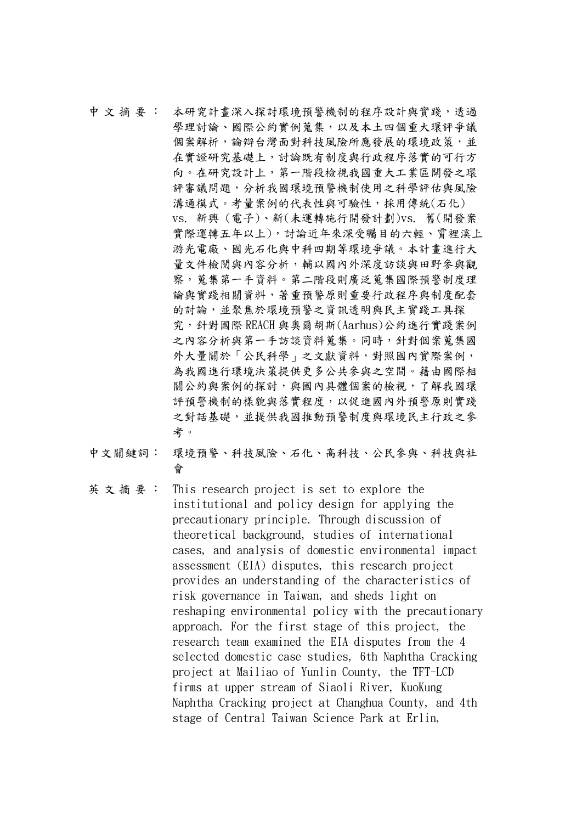中文 摘 要: 本研究計書深入探討環境預警機制的程序設計與實踐,透過 學理討論、國際公約實例蒐集,以及本土四個重大環評爭議 個案解析,論辯台灣面對科技風險所應發展的環境政策,並 在實證研究基礎上,討論既有制度與行政程序落實的可行方 向。在研究設計上,第一階段檢視我國重大工業區開發之環 評審議問題,分析我國環境預警機制使用之科學評估與風險 溝通模式。考量案例的代表性與可驗性,採用傳統(石化) vs. 新興 (電子)、新(未運轉施行開發計劃)vs. 舊(開發案 實際運轉五年以上),討論近年來深受矚目的六輕、霄裡溪上 游光電廠、國光石化與中科四期等環境爭議。本計畫進行大 量文件檢閱與內容分析,輔以國內外深度訪談與田野參與觀 察,蒐集第一手資料。第二階段則廣泛蒐集國際預警制度理 論與實踐相關資料,著重預警原則重要行政程序與制度配套 的討論,並聚焦於環境預警之資訊透明與民主實踐工具探 究,針對國際 REACH 與奧爾胡斯(Aarhus)公約進行實踐案例 之內容分析與第一手訪談資料蒐集。同時,針對個案蒐集國 外大量關於「公民科學」之文獻資料,對照國內實際案例, 為我國進行環境決策提供更多公共參與之空間。藉由國際相 關公約與案例的探討,與國內具體個案的檢視,了解我國環 評預警機制的樣貌與落實程度,以促進國內外預警原則實踐 之對話基礎,並提供我國推動預警制度與環境民主行政之參 考。

- 中文關鍵詞: 環境預警、科技風險、石化、高科技、公民參與、科技與社 會
- 英 文 摘 要 : This research project is set to explore the institutional and policy design for applying the precautionary principle. Through discussion of theoretical background, studies of international cases, and analysis of domestic environmental impact assessment (EIA) disputes, this research project provides an understanding of the characteristics of risk governance in Taiwan, and sheds light on reshaping environmental policy with the precautionary approach. For the first stage of this project, the research team examined the EIA disputes from the 4 selected domestic case studies, 6th Naphtha Cracking project at Mailiao of Yunlin County, the TFT-LCD firms at upper stream of Siaoli River, KuoKung Naphtha Cracking project at Changhua County, and 4th stage of Central Taiwan Science Park at Erlin,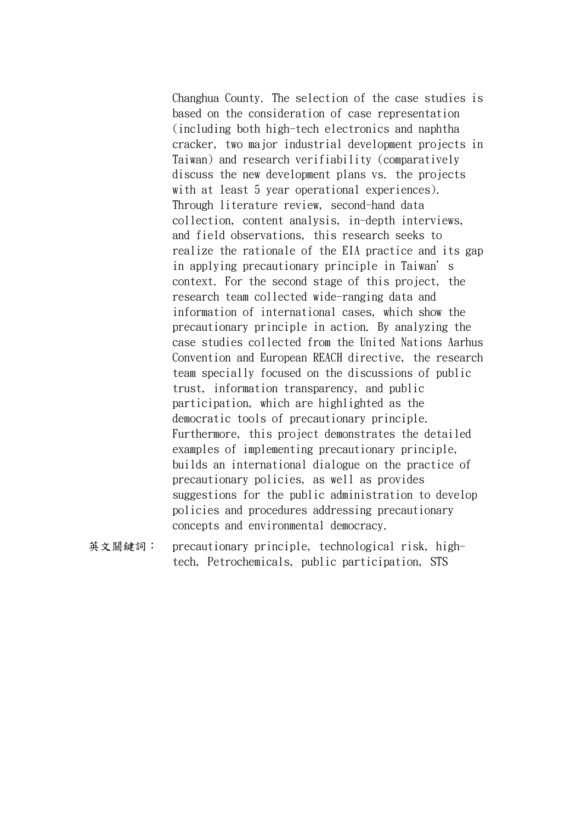Changhua County. The selection of the case studies is based on the consideration of case representation (including both high-tech electronics and naphtha cracker, two major industrial development projects in Taiwan) and research verifiability (comparatively discuss the new development plans vs. the projects with at least 5 year operational experiences). Through literature review, second-hand data collection, content analysis, in-depth interviews, and field observations, this research seeks to realize the rationale of the EIA practice and its gap in applying precautionary principle in Taiwan's context. For the second stage of this project, the research team collected wide-ranging data and information of international cases, which show the precautionary principle in action. By analyzing the case studies collected from the United Nations Aarhus Convention and European REACH directive, the research team specially focused on the discussions of public trust, information transparency, and public participation, which are highlighted as the democratic tools of precautionary principle. Furthermore, this project demonstrates the detailed examples of implementing precautionary principle, builds an international dialogue on the practice of precautionary policies, as well as provides suggestions for the public administration to develop policies and procedures addressing precautionary concepts and environmental democracy.

英文關鍵詞: precautionary principle, technological risk, hightech, Petrochemicals, public participation, STS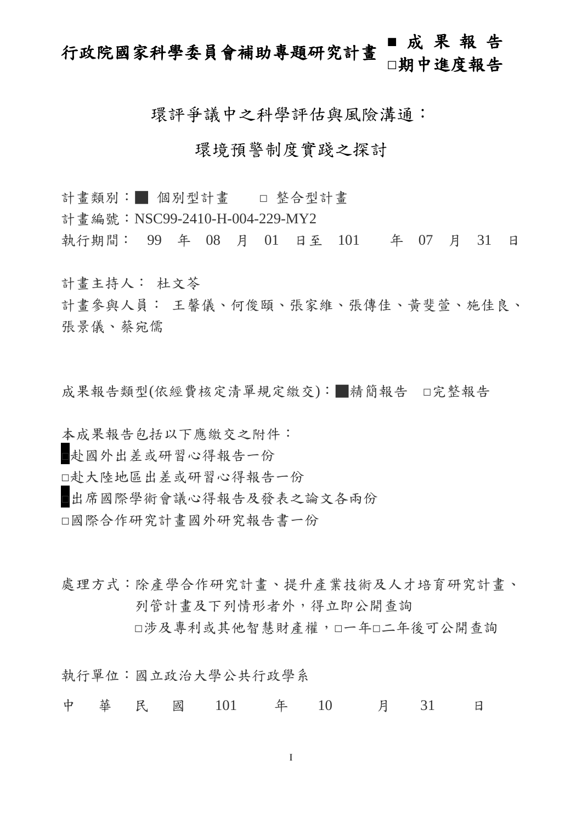# 行政院國家科學委員會補助專題研究計畫 **■** 成 果 報 告 **□**期中進度報告

環評爭議中之科學評估與風險溝通:

### 環境預警制度實踐之探討

- 計書類別:■ 個別型計書 □ 整合型計書
- 計書編號: NSC99-2410-H-004-229-MY2
- 執行期間: 99 年 08 月 01 日至 101 年 07 月 31 日

計畫主持人: 杜文苓

計畫參與人員: 王馨儀、何俊頤、張家維、張傳佳、黃斐萱、施佳良、 張景儀、蔡宛儒

成果報告類型(依經費核定清單規定繳交):■精簡報告 □完整報告

本成果報告包括以下應繳交之附件:

□赴國外出差或研習心得報告一份

□赴大陸地區出差或研習心得報告一份

□出席國際學術會議心得報告及發表之論文各兩份

□國際合作研究計畫國外研究報告書一份

處理方式:除產學合作研究計書、提升產業技術及人才培育研究計書、 列管計畫及下列情形者外,得立即公開查詢 □涉及專利或其他智慧財產權,□一年□二年後可公開杳詢

執行單位:國立政治大學公共行政學系

中 華 民 國 101 年 10 月 31 日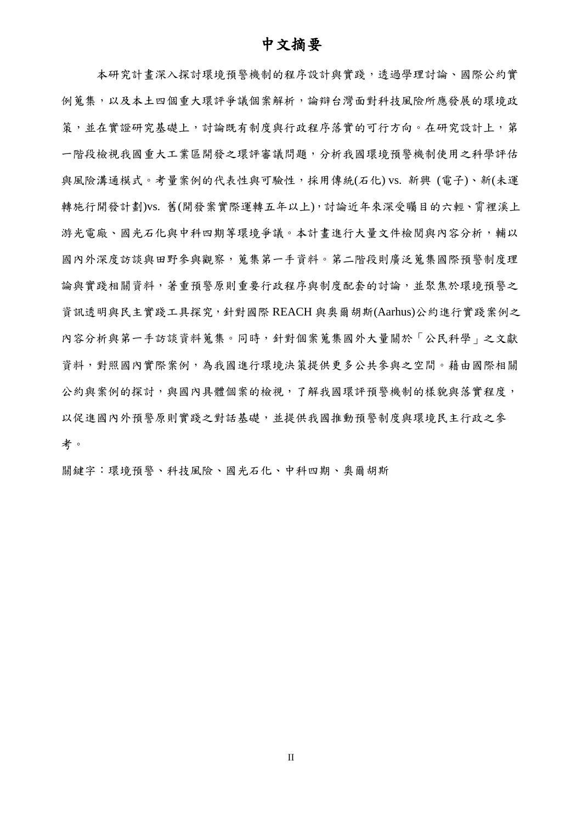### 中文摘要

本研究計畫深入探討環境預警機制的程序設計與實踐,透過學理討論、國際公約實 例蒐集,以及本土四個重大環評爭議個案解析,論辯台灣面對科技風險所應發展的環境政 策,並在實證研究基礎上,討論既有制度與行政程序落實的可行方向。在研究設計上,第 一階段檢視我國重大工業區開發之環評審議問題,分析我國環境預警機制使用之科學評估 與風險溝通模式。考量案例的代表性與可驗性,採用傳統(石化) vs. 新興 (電子)、新(未運 轉施行開發計劃)vs. 舊(開發案實際運轉五年以上), 討論近年來深受矚目的六輕、霄裡溪上 游光電廠、國光石化與中科四期等環境爭議。本計書進行大量文件檢閱與內容分析,輔以 國內外深度訪談與田野參與觀察,蒐集第一手資料。第二階段則廣泛蒐集國際預警制度理 論與實踐相關資料,著重預警原則重要行政程序與制度配套的討論,並聚焦於環境預警之 資訊透明與民主實踐工具探究,針對國際 REACH 與奧爾胡斯(Aarhus)公約進行實踐案例之 內容分析與第一手訪談資料蒐集。同時,針對個案蒐集國外大量關於「公民科學」之文獻 資料,對照國內實際案例,為我國進行環境決策提供更多公共參與之空間。藉由國際相關 公約與案例的探討,與國內具體個案的檢視,了解我國環評預警機制的樣貌與落實程度, 以促進國內外預警原則實踐之對話基礎,並提供我國推動預警制度與環境民主行政之參 考。

關鍵字:環境預警、科技風險、國光石化、中科四期、奧爾胡斯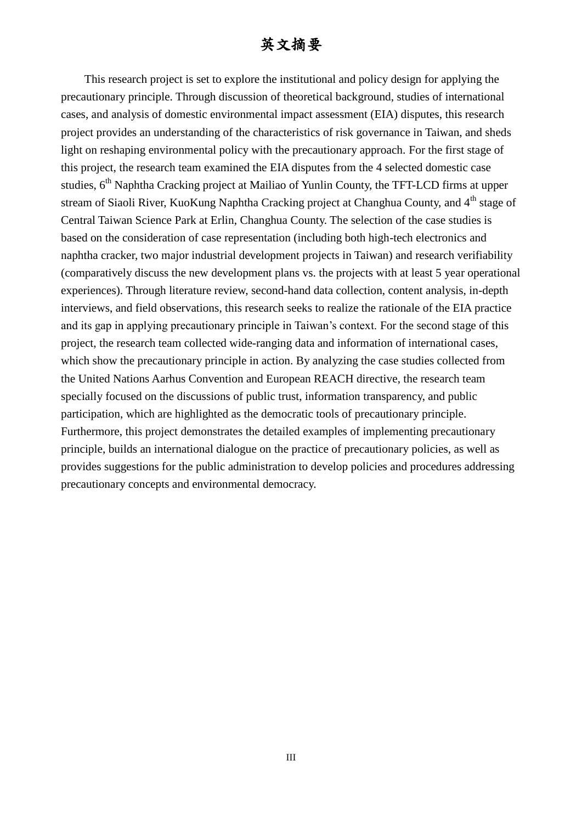### 英文摘要

This research project is set to explore the institutional and policy design for applying the precautionary principle. Through discussion of theoretical background, studies of international cases, and analysis of domestic environmental impact assessment (EIA) disputes, this research project provides an understanding of the characteristics of risk governance in Taiwan, and sheds light on reshaping environmental policy with the precautionary approach. For the first stage of this project, the research team examined the EIA disputes from the 4 selected domestic case studies, 6<sup>th</sup> Naphtha Cracking project at Mailiao of Yunlin County, the TFT-LCD firms at upper stream of Siaoli River, KuoKung Naphtha Cracking project at Changhua County, and 4<sup>th</sup> stage of Central Taiwan Science Park at Erlin, Changhua County. The selection of the case studies is based on the consideration of case representation (including both high-tech electronics and naphtha cracker, two major industrial development projects in Taiwan) and research verifiability (comparatively discuss the new development plans vs. the projects with at least 5 year operational experiences). Through literature review, second-hand data collection, content analysis, in-depth interviews, and field observations, this research seeks to realize the rationale of the EIA practice and its gap in applying precautionary principle in Taiwan's context. For the second stage of this project, the research team collected wide-ranging data and information of international cases, which show the precautionary principle in action. By analyzing the case studies collected from the United Nations Aarhus Convention and European REACH directive, the research team specially focused on the discussions of public trust, information transparency, and public participation, which are highlighted as the democratic tools of precautionary principle. Furthermore, this project demonstrates the detailed examples of implementing precautionary principle, builds an international dialogue on the practice of precautionary policies, as well as provides suggestions for the public administration to develop policies and procedures addressing precautionary concepts and environmental democracy.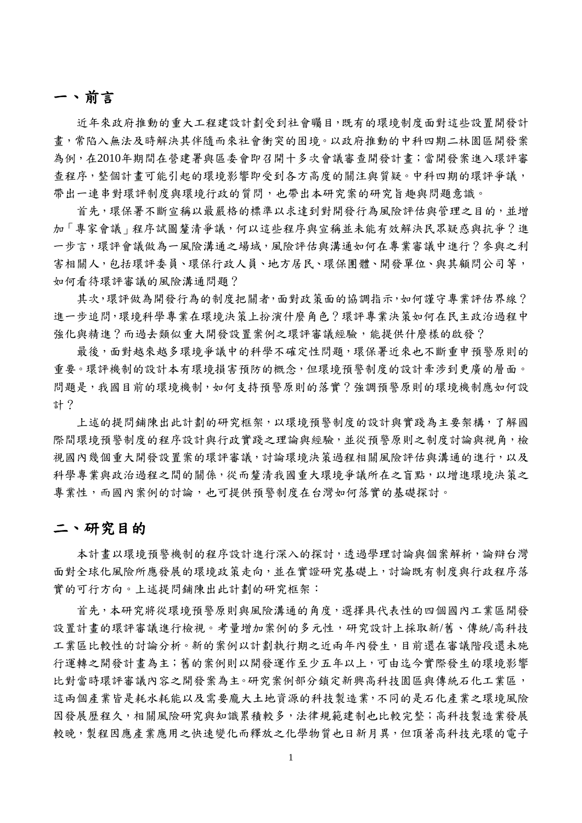### 一、前言

近年來政府推動的重大工程建設計劃受到社會矚目,既有的環境制度面對這些設置開發計 畫,常陷入無法及時解決其伴隨而來社會衝突的困境。以政府推動的中科四期二林園區開發案 為例,在2010年期間在營建署與區委會即召開十多次會議審查開發計畫;當開發案進入環評審 查程序,整個計畫可能引起的環境影響即受到各方高度的關注與質疑。中科四期的環評爭議, 帶出一連串對環評制度與環境行政的質問,也帶出本研究案的研究旨趣與問題意識。

首先,環保署不斷宣稱以最嚴格的標準以求達到對開發行為風險評估與管理之目的,並增 加「專家會議」程序試圖釐清爭議,何以這些程序與宣稱並未能有效解決民眾疑惑與抗爭?進 一步言,環評會議做為一風險溝通入風險評估與溝通如何在專業審議中進行?參與之利 害相關人,包括環評委員、環保內政人員、地方居民、環保團體、開發單位、與其顧問公司等, 如何看待環評審議的風險溝通問題?

其次,環評做為開發行為的制度把關者,面對政策面的協調指示,如何謹守專業評估界線? 進一步追問,環境科學專業在環境決策上扮演什麼角色?環評專業決策如何在民主政治過程中 強化與精進?而過去類似重大開發設置案例之環評審議經驗,能提供什麼樣的啟發?

最後,面對越來越多環境爭議中的科學不確定性問題,環保署近來也不斷重申預警原則的 重要。環評機制的設計本有環境損害預防的概念,但環境預警制度的設計牽涉到更廣的層面。 問題是,我國目前的環境機制,如何支持預警原則的落實?強調預警原則的環境機制應如何設 計?

上述的提問鋪陳出此計劃的研究框架,以環境預警制度的設計與實踐為主要架構,了解國 際間環境預警制度的程序設計與行政實踐之理論與經驗,並從預警原則之制度討論與視角,檢 視國內幾個重大開發設置案的環評審議,討論環境決策過程相關風險評估與溝通的進行,以及 科學專業與政治過程之間的關係,從而釐清我國重大環境爭議所在之盲點,以增進環境決策之 專業性,而國內案例的討論,也可提供預警制度在台灣如何落實的基礎探討。

### 二、研究目的

本計畫以環境預警機制的程序設計進行深入的探討,透過學理討論與個案解析,論辯台灣 面對全球化風險所應發展的環境政策走向,並在實證研究基礎上,討論既有制度與行政程序落 實的可行方向。上述提問鋪陳出此計劃的研究框架:

首先,本研究將從環境預學原則與風險溝通的角度,選擇具代表性的四個國內工業區開發 設置計畫的環評審議進行檢視。考量增加案例的多元性,研究設計上採取新/舊、傳統/高科技 工業區比較性的討論分析。新的案例以計劃執行期之近兩年內發生,目前還在審議階段還未施 行運轉之開發計畫為主;舊的案例則以開發運作至少五年以上,可由迄今實際發生的環境影響 比對當時環評審議內容之開發案為主。研究案例部分鎖定新興高科技園區與傳統石化工業區, 這兩個產業皆是耗水耗能以及需要龐大土地資源的科技製造業,不同的是石化產業之環境風險 因發展歷程久,相關風險研究與知識累積較多,法律規範建制也比較完整;高科技製造業發展 較晚,製程因應產業應用之快速變化而釋放之化學物質也日新月異,但頂著高科技光環的電子

1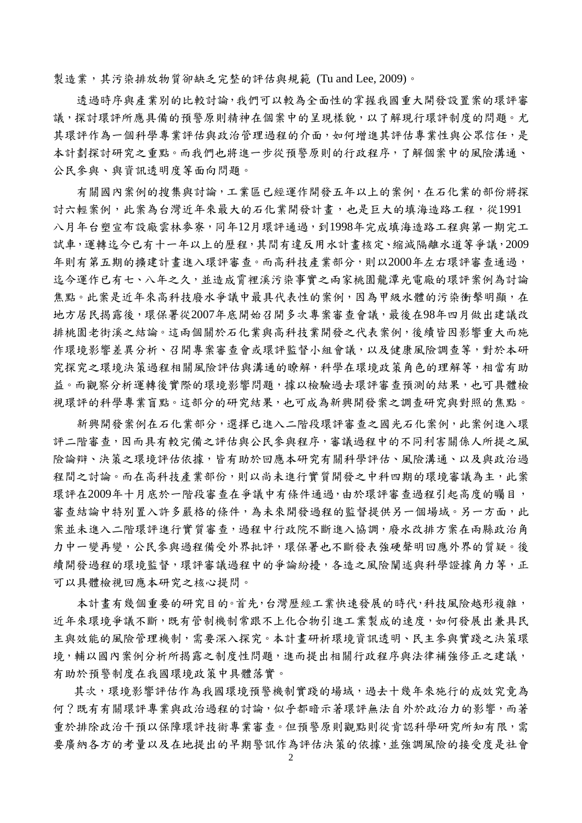製造業,其污染排放物質卻缺乏完整的評估與規範 (Tu and Lee, 2009)。

透過時序與產業別的比較討論,我們可以較為全面性的掌握我國重大開發設置案的環評審 議,探討環評所應具備的預警原則精神在個案中的呈現樣貌,以了解現行環評制度的問題。尤 其環評作為一個科學專業評估與政治管理過程的介面,如何增進其評估專業性與公眾信任,是 本計劃探討研究之重點。而我們也將進一步從預警原則的行政程序,了解個案中的風險溝通、 公民參與、與資訊透明度等面向問題。

有關國內案例的搜集與討論,工業區已經運作開發五年以上的案例,在石化業的部份將探 討六輕案例,此案為台灣近年來最大的石化業開發計書,也是巨大的填海造路工程,從1991 八月年台塑宣布設廠雲林麥寮,同年12月環評通過,到1998年完成填海造路工程與第一期完工 試車,運轉迄今已有十一年以上的歷程,其間有違反用水計畫核定、縮減隔離水道等爭議,2009 年則有第五期的擴建計畫進入環評審查。而高科技產業部分,則以2000年左右環評審查通過, 迄今運作已有七、八年之久,並造成霄裡溪污染事實之兩家桃園龍潭光電廠的環評案例為討論 焦點。此案是近年來高科技廢水爭議中最具代表性的案例,因為甲級水體的污染衝擊明顯,在 地方居民揭露後,環保署從2007年底開始召開多次專案審查會議,最後在98年四月做出建議改 排桃園老街溪之結論。這兩個關於石化業與高科技業開發之代表案例,後續皆因影響重大而施 作環境影響差異分析、召開專案審查會或環評監督小組會議,以及健康風險調查等,對於本研 究探究之環境決策過程相關風險評估與溝通的瞭解,科學在環境政策角色的理解等,相當有助 益。而觀察分析運轉後實際的環境影響問題,據以檢驗過去環評審查預測的結果,也可具體檢 視環評的科學專業盲點。這部分的研究結果,也可成為新興開發案之調查研究與對照的焦點。

新興開發案例在石化業部分,選擇已進入二階段環評審查之國光石化案例,此案例進入環 評二階審查,因而具有較完備之評估與公民參與程序,審議過程中的不同利害關係人所提之風 險論辯、決策之環境評估依據,皆有助於回應本研究有關科學評估、風險溝通、以及與政治過 程間之討論。而在高科技產業部份,則以尚未進行實質開發之中科四期的環境審議為主,此案 環評在2009年十月底於一階段審查在爭議中有條件通過,由於環評審查過程引起高度的矚目, 審查結論中特別置入許多嚴格的條件,為未來開發過程的監督提供另一個場域。另一方面,此 案並未進入二階環評進行實質審查,過程中行政院不斷進入協調,廢水改排方案在兩縣政治角 力中一變再變,公民參與過程備受外界批評,環保署也不斷發表強硬聲明回應外界的質疑。後 續開發過程的環境監督,環評審議過程中的爭論紛擾,各造之風險闡述與科學證據角力等,正 可以具體檢視回應本研究之核心提問。

本計畫有幾個重要的研究目的。首先,台灣歷經工業快速發展的時代,科技風險越形複雜, 近年來環境爭議不斷,既有管制機制常跟不上化合物引進工業製成的速度,如何發展出兼具民 主與效能的風險管理機制,需要深入探究。本計畫研析環境資訊透明、民主參與實踐之決策環 境,輔以國內案例分析所揭露之制度性問題,進而提出相關行政程序與法律補強修正之建議, 有助於預警制度在我國環境政策中具體落實。

其次,環境影響評估作為我國環境預警機制實踐的場域,過去十幾年來施行的成效究竟為 何?既有有關環評專業與政治過程的討論,似乎都暗示著環評無法自外於政治力的影響,而著 重於排除政治干預以保障環評技術專業審查。但預警原則觀點則從肯認科學研究所知有限,需 要廣納各方的考量以及在地提出的早期警訊作為評估決策的依據,並強調風險的接受度是社會

2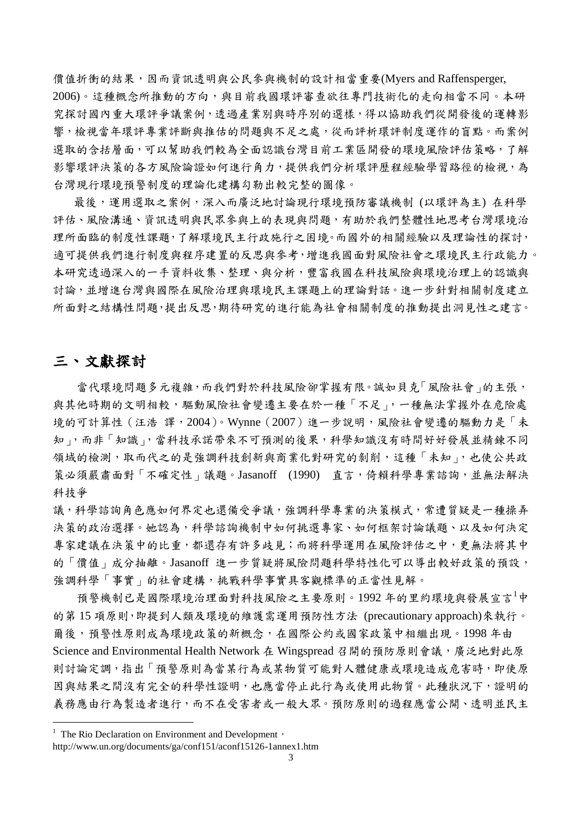價值折衝的結果,因而資訊透明與公民參與機制的設計相當重要(Myers and Raffensperger, 2006)。這種概念所推動的方向,與目前我國環評審查欲往專門技術化的走向相當不同。本研 究探討國內重大環評爭議案例,透過產業別與時序別的選樣,得以協助我們從開發後的運轉影 響,檢視當年環評專業評斷與推估的問題與不足之處,從而評析環評制度運作的盲點。而案例 選取的含括層面,可以幫助我們較為全面認識台灣目前工業區開發的環境風險評估策略,了解 影響環評決策的各方風險論證如何進行角力,提供我們分析環評歷程經驗學習路徑的檢視,為 台灣現行環境預警制度的理論化建構勾勒出較完整的圖像。

最後,運用選取之案例,深入而廣泛地討論現行環境預防審議機制 (以環評為主) 在科學 評估、風險溝通、資訊透明與民眾參與上的表現與問題,有助於我們整體性地思考台灣環境治 理所面臨的制度性課題,了解環境民主行政施行之困境。而國外的相關經驗以及理論性的探討, 適可提供我們進行制度與程序建置的反思與參考,增進我國面對風險社會之環境民主行政能力。 本研究透過深入的一手資料收集、整理、與分析,豐富我國在科技風險與環境治理上的認識與 討論,並增進台灣與國際在風險治理與環境民主課題上的理論對話。進一步針對相關制度建立 所面對之結構性問題,提出反思,期待研究的進行能為社會相關制度的推動提出洞見性之建言。

### 三、文獻探討

1

當代環境問題多元複雜,而我們對於科技風險卻掌握有限。誠如貝克「風險社會」的主張, 與其他時期的文明相較,驅動風險社會變遷主要在於一種「不足」,一種無法掌握外在危險處 境的可計算性 (汪浩 譯, 2004)。Wynne (2007)進一步說明,風險社會變遷的驅動力是「未 知」,而非「知識」,當科技承諾帶來不可預測的後果,科學知識沒有時間好好發展並精鍊不同 領域的檢測,取而代之的是強調科技創新與商業化對研究的剝削,這種「未知」,也使公共政 策必須嚴肅面對「不確定性」議題。Jasanoff (1990) 直言,倚賴科學專業諮詢,並無法解決 科技爭

議,科學諮詢角色應如何界定也還備受爭議,強調科學專業的決策模式,常遭質疑是一種操弄 決策的政治選擇。她認為,科學諮詢機制中如何挑選專家、如何框架討論議題、以及如何決定 專家建議在決策中的比重,都還存有許多歧見;而將科學運用在風險評估之中,更無法將其中 的「價值」成分抽離。Jasanoff 進一步質疑將風險問題科學特性化可以導出較好政策的預設, 強調科學「事實」的社會建構,挑戰科學事實具客觀標準的正當性見解。

預警機制已是國際環境治理面對科技風險之主要原則。1992 年的里約環境與發展宣言<sup>1</sup>中 的第 15 項原則,即提到人類及環境的維護需運用預防性方法 (precautionary approach)來執行。 爾後,預警性原則成為環境政策的新概念,在國際公約或國家政策中相繼出現。1998年由 Science and Environmental Health Network 在 Wingspread 召開的預防原則會議,廣泛地對此原 則討論定調,指出「預警原則為當某行為或某物質可能對人體健康或環境造成危害時,即使原 因與結果之間沒有完全的科學性證明,也應當停止此行為或使用此物質。此種狀況下,證明的 義務應由行為製造者進行,而不在受害者或一般大眾。預防原則的過程應當公開、透明並民主

 $1$  The Rio Declaration on Environment and Development,

http://www.un.org/documents/ga/conf151/aconf15126-1annex1.htm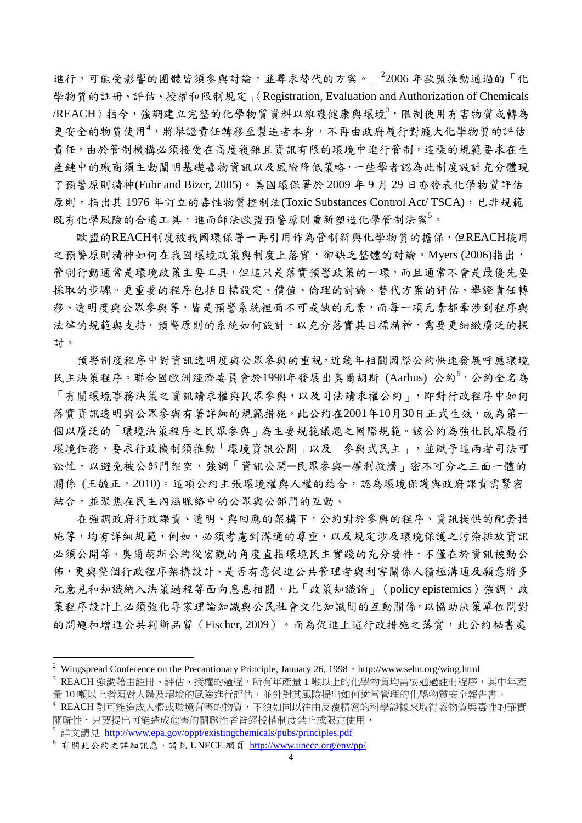進行,可能受影響的團體皆須參與討論,並尋求替代的方案。」<sup>2</sup>2006年歐盟推動通過的「化 學物質的註冊、評估、授權和限制規定」〈Registration, Evaluation and Authorization of Chemicals /REACH〉指令,強調建立完整的化學物質資料以維護健康與環境3,限制使用有害物質或轉為 更安全的物質使用<sup>4,</sup>將舉證責任轉移至製造者本身,不再由政府履行對龐大化學物質的評估 責任,由於管制機構必須接受在高度複雜且資訊有限的環境中進行管制,這樣的規範要求在生 產鏈中的廠商須主動闡明基礎毒物資訊以及風險降低策略,一些學者認為此制度設計充分體現 了預警原則精神(Fuhr and Bizer, 2005)。美國環保署於 2009 年 9 月 29 日亦發表化學物質評估 原則,指出其 1976年訂立的毒性物質控制法(Toxic Substances Control Act/ TSCA),已非規範 既有化學風險的合適工具,進而師法歐盟預警原則重新塑造化學管制法案<sup>5。</sup>

歐盟的REACH制度被我國環保署一再引用作為管制新興化學物質的擔保,但REACH援用 之預警原則精神如何在我國環境政策與制度上落實,卻缺乏整體的討論。Myers (2006)指出, 管制行動通常是環境政策主要工具,但這只是落實預警政策的一環,而且通常不會是最優先要 採取的步驟。更重要的程序包括目標設定、價值、倫理的討論、替代方案的評估、舉證責任轉 移、透明度與公眾參與等,皆是預警系統裡面不可或缺的元素,而每一項元素都牽涉到程序與 法律的規範與支持。預警原則的系統如何設計,以充分落實其目標精神,需要更細緻廣泛的探 討。

預警制度程序中對資訊透明度與公眾參與的重視,近幾年相關國際公約快速發展呼應環境 民主決策程序。聯合國歐洲經濟委員會於1998年發展出奧爾胡斯 (Aarhus) 公約<sup>6,</sup>公約全名為 「有關環境事務決策之資訊請求權與民眾參與,以及司法請求權公約」,即對行政程序中如何 落實資訊透明與公眾參與有著詳細的規範措施。此公約在2001年10月30日正式生效,成為第一 個以廣泛的「環境決策程序之民眾參與」為主要規範議題之國際規範。該公約為強化民眾履行 環境任務,要求行政機制須推動「環境資訊公開」以及「參與式民主」,並賦予這兩者司法可 訟性,以避免被公部門架空,強調「資訊公開一民眾參與一權利救濟」密不可分之三面一體的 關係 (王毓正, 2010)。這項公約主張環境權與人權的結合,認為環境保護與政府課責需緊密 結合,並聚焦在民主內涵脈絡中的公眾與公部門的互動。

在強調政府行政課責、透明、與回應的架構下,公約對於參與的程序、資訊提供的配套措 施等,均有詳細規範,例如,必須考慮到溝通的尊重,以及規定涉及環境保護之污染排放資訊 必須公開等。奧爾胡斯公約從宏觀的角度直指環境民主實踐的充分要件,不僅在於資訊被動公 佈,更與整個行政程序架構設計、是否有意促進公共管理者與利害關係人積極溝通及願意將多 元意見和知識納入決策過程等面向息息相關。此「政策知識論」(policy epistemics)強調,政 策程序設計上必須強化專家理論知識與公民社會文化知識間的互動關係,以協助決策單位問對 的問題和增進公共判斷品質(Fischer, 2009)。而為促進上述行政措施之落實,此公約秘書處

1

<sup>&</sup>lt;sup>2</sup> Wingspread Conference on the Precautionary Principle, January 26, 1998, http://www.sehn.org/wing.html

 $^3$  REACH 強調藉由註冊、評估、授權的過程,所有年產量 1 噸以上的化學物質均需要通過註冊程序,其中年產 量10 噸以上者須對人體及環境的風險進行評估,並針對其風險提出如何適當管理的化學物質安全報告書。

 $^4$  REACH 對可能造成人體或環境有害的物質,不須如同以往由反覆精密的科學證據來取得該物質與毒性的確實 關聯性,只要提出可能造成危害的關聯性者皆經授權制度禁止或限定使用,

詳文請見 <http://www.epa.gov/oppt/existingchemicals/pubs/principles.pdf>

<sup>6</sup> 有關此公約之詳細訊息,請見 UNECE 網頁 <http://www.unece.org/env/pp/>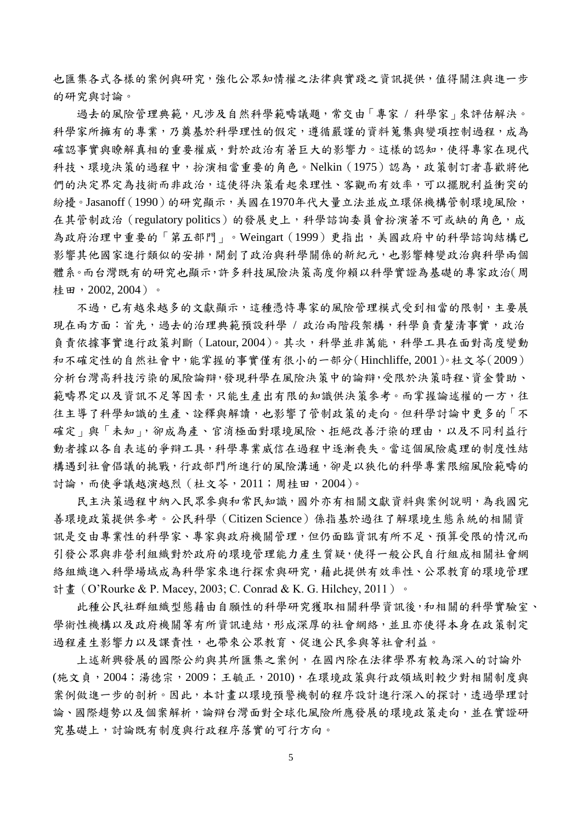也匯集各式各樣的案例與研究,強化公眾知情權之法律與實踐之資訊提供,值得關注與進一步 的研究與討論。

過去的風險管理典範,凡涉及自然科學範疇議題,常交由「專家 / 科學家」來評估解決。 科學家所擁有的專業,乃奠基於科學理性的假定,遵循嚴謹的資料蒐集與變項控制過程,成為 確認事實與瞭解真相的重要權威,對於政治有著巨大的影響力。這樣的認知,使得專家在現代 科技、環境決策的過程中,扮演相當重要的角色。Nelkin(1975)認為,政策制訂者喜歡將他 們的決定界定為技術而非政治,這使得決策看起來理性、客觀而有效率,可以擺脫利益衝突的 紛擾。Jasanoff (1990)的研究顯示,美國在1970年代大量立法並成立環保機構管制環境風險, 在其管制政治 (regulatory politics) 的發展史上,科學諮詢委員會扮演著不可或缺的角色,成 為政府治理中重要的「第五部門」。Weingart(1999)更指出,美國政府中的科學諮詢結構已 影響其他國家進行類似的安排,開創了政治與科學關係的新紀元,也影響轉變政治與科學兩個 體系。而台灣既有的研究也顯示,許多科技風險決策高度仰賴以科學實證為基礎的專家政治(周 桂田,2002, 2004)。

不過,已有越來越多的文獻顯示,這種憑恃專家的風險管理模式受到相當的限制,主要展 現在兩方面:首先,過去的治理典範預設科學 / 政治兩階段架構,科學負責釐清事實,政治 負責依據事實進行政策判斷(Latour, 2004)。其次,科學並非萬能,科學工具在面對高度變動 和不確定性的自然社會中,能掌握的事實僅有很小的一部分(Hinchliffe, 2001)。杜文苓(2009) 分析台灣高科技污染的風險論辯,發現科學在風險決策中的論辯,受限於決策時程、資金贊助、 範疇界定以及資訊不足等因素,只能生產出有限的知識供決策參考。而掌握論述權的一方,往 往主導了科學知識的生產、詮釋與解讀,也影響了管制政策的走向。但科學討論中更多的「不 確定」與「未知」,卻成為產、官消極面對環境風險、拒絕改善汗染的理由,以及不同利益行 動者據以各自表述的爭辯工具,科學專業威信在過程中逐漸喪失。當這個風險處理的制度性結 構遇到社會倡議的挑戰,行政部門所進行的風險溝通,卻是以狹化的科學專業限縮風險範疇的 討論,而使爭議越演越烈(杜文苓,2011;周桂田,2004)。

民主決策過程中納入民眾參與和常民知識,國外亦有相關文獻資料與案例說明,為我國完 善環境政策提供參考。公民科學(Citizen Science)係指基於過往了解環境生態系統的相關資 訊是交由專業性的科學家、專家與政府機關管理,但仍面臨資訊有所不足、預算受限的情況而 引發公眾與非營利組織對於政府的環境管理能力產生質疑,使得一般公民自行組成相關社會網 絡組織進入科學場域成為科學家來進行探索與研究,藉此提供有效率性、公眾教育的環境管理 計畫 (O'Rourke & P. Macey, 2003; C. Conrad & K. G. Hilchey, 2011) 。

此種公民社群組織型態藉由自願性的科學研究獲取相關科學資訊後,和相關的科學實驗室、 學術性機構以及政府機關等有所資訊連結,形成深厚的社會網絡,並且亦使得本身在政策制定 過程產生影響力以及課責性,也帶來公眾教育、促進公民參與等社會利益。

上述新興發展的國際公約與其所匯集之案例,在國內除在法律學界有較為深入的討論外 (施文貞,2004;湯德宗,2009;王毓正,2010),在環境政策與行政領域則較少對相關制度與 案例做進一步的剖析。因此,本計書以環境預警機制的程序設計進行深入的探討,透過學理討 論、國際趨勢以及個案解析,論辯台灣面對全球化風險所應發展的環境政策走向,並在實證研 究基礎上,討論既有制度與行政程序落實的可行方向。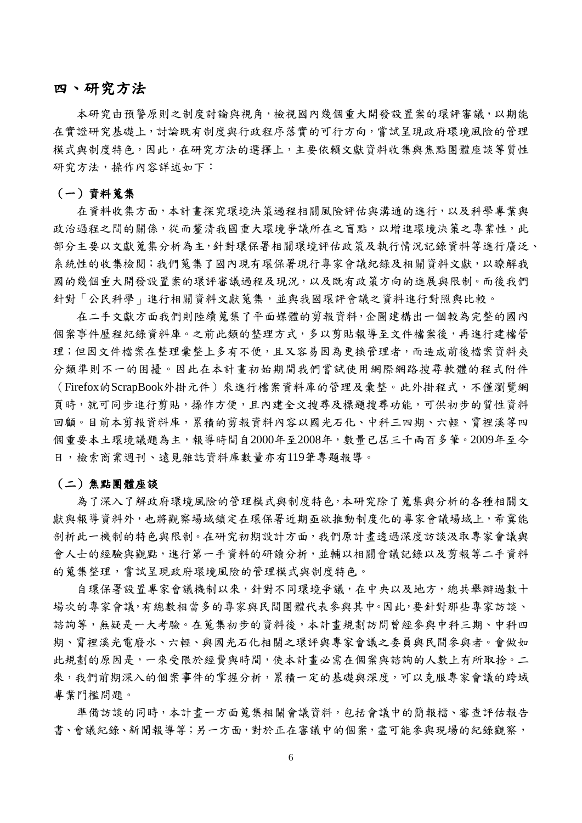#### 四、研究方法

本研究由預警原則之制度討論與視角,檢視國內幾個重大開發設置案的環評審議,以期能 在實證研究基礎上,討論既有制度與行政程序落實的可行方向,嘗試呈現政府環境風險的管理 模式與制度特色,因此,在研究方法的選擇上,主要依賴文獻資料收集與焦點團體座談等質性 研究方法, 操作內容詳述如下:

#### (一)資料蒐集

在資料收集方面,本計書探究環境決策過程相關風險評估與溝通的進行,以及科學專業與 政治過程之間的關係,從而釐清我國重大環境爭議所在之盲點,以增進環境決策之專業性,此 部分主要以文獻蒐集分析為主,針對環保署相關環境評估政策及執行情況記錄資料等進行廣泛、 系統性的收集檢閱;我們蒐集了國內現有環保署現行專家會議紀錄及相關資料文獻,以瞭解我 國的幾個重大開發設置案的環評審議過程及現況,以及既有政策方向的進展與限制。而後我們 針對「公民科學」進行相關資料文獻蒐集,並與我國環評會議之資料進行對照與比較。

在二手文獻方面我們則陸續蒐集了平面媒體的剪報資料,企圖建構出一個較為完整的國內 個案事件歷程紀錄資料庫。之前此類的整理方式,多以剪貼報導至文件檔案後,再進行建檔管 理;但因文件檔案在整理彙整上多有不便,且又容易因為更換管理者,而造成前後檔案資料夾 分類準則不一的困擾。因此在本計畫初始期間我們嘗試使用網際網路搜尋軟體的程式附件 (Firefox的ScrapBook外掛元件)來進行檔案資料庫的管理及彙整。此外掛程式,不僅瀏覽網 頁時,就可同步進行剪貼,操作方便,且內建全文搜尋及標題搜尋功能,可供初步的質性資料 回顧。目前本剪報資料有容以國光石化、中科三四期、六輕、霄裡溪等四 個重要本土環境議題為主,報導時間自2000年至2008年,數量已屆三千兩百多筆。2009年至今 日,檢索商業週刊、遠見雜誌資料庫數量亦有119筆專題報導。

#### (二)焦點團體座談

為了深入了解政府環境風險的管理模式與制度特色,本研究除了蒐集與分析的各種相關文 獻與報導資料外,也將觀察場域鎖定在環保署近期亟欲推動制度化的專家會議場域上,希冀能 剖析此一機制的特色與限制。在研究初期設計方面,我們原計畫透過深度訪談汲取專家會議與 會人士的經驗與觀點,進行第一手資料的研讀分析,並輔以相關會議記錄以及剪報等二手資料 的蒐集整理,嘗試呈現政府環境風險的管理模式與制度特色。

自環保署設置專家會議機制以來,針對不同環境爭議,在中央以及地方,總共舉辦過數十 場次的專家會議,有總數相當多的專家與民間團體代表參與其中。因此,要針對那些專家訪談、 諮詢等,無疑是一大考驗。在蒐集初步的資料後,本計畫規劃訪問曾經參與中科三期、中科四 期、霄裡溪光電廢水、六輕、與國光石化相關之環評與專家會議之委員與民間參與者。會做如 此規劃的原因是,一來受限於經費與時間,使本計書必需在個案與諮詢的人數上有所取捨。二 來,我們前期深入的個案事件的掌握分析,累積一定的基礎與深度,可以克服專家會議的跨域 專業門檻問題。

準備訪談的同時,本計書一方面蒐集相關會議資料,包括會議中的簡報檔、審查評估報告 書、會議紀錄、新聞報導等;另一方面,對於正在審議中的個案,盡可能參與現場的紀錄觀察,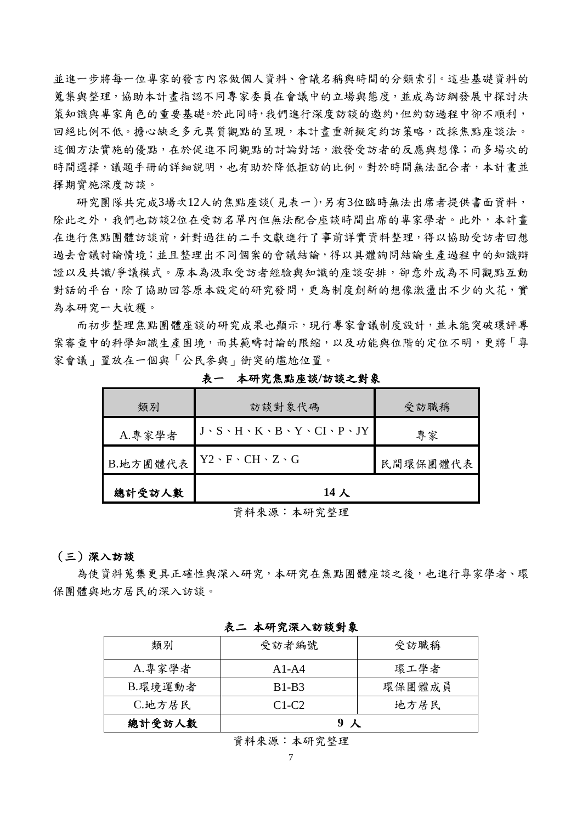並進一步將每一位專家的發言內容做個人資料、會議名稱與時間的分類索引。這些基礎資料的 蒐集與整理,協助本計畫指認不同專家委員在會議中的立場與態度,並成為訪綱發展中探討決 策知識與專家角色的重要基礎。於此同時,我們進行深度訪談的邀約,但約訪過程中卻不順利, 回絕比例不低。擔心缺乏多元異質觀點的呈現,本計畫重新擬定約訪策略,改採焦點座談法。 這個方法實施的優點,在於促進不同觀點的討論對話,激發受訪者的反應與想像;而多場次的 時間選擇,議題手冊的詳細說明,也有助於降低拒訪的比例。對於時間無法配合者,本計書並 擇期實施深度訪談。

研究團隊共完成3場次12人的焦點座談(見表一),另有3位臨時無法出席者提供書面資料, 除此之外,我們也訪談2位在受訪名單內但無法配合座談時間出席的專家學者。此外,本計書 在進行焦點團體訪談前,針對過往的二手文獻進行了事前詳實資料整理,得以協助受訪者回想 過去會議討論情境;並且整理出不同個案的會議結論,得以具體詢問結論生產過程中的知識辯 證以及共識/爭議模式。原本為汲取受訪者經驗與知識的座談安排,卻意外成為不同觀點互動 對話的平台,除了協助回答原本設定的研究發問,更為制度創新的想像激盪出不少的火花,實 為本研究一大收穫。

而初步整理焦點團體座談的研究成果也顯示,現行專家會議制度設計,並未能突破環評專 案審查中的科學知識生產困境,而其範疇討論的限縮,以及功能與位階的定位不明,更將「專 家會議」置放在一個與「公民參與」衝突的尷尬位置。

| 類別       | 訪談對象代碼                                                                | 受訪職稱     |
|----------|-----------------------------------------------------------------------|----------|
| A.專家學者   | $J \cdot S \cdot H \cdot K \cdot B \cdot Y \cdot CI \cdot P \cdot JY$ | 專家       |
| B.地方團體代表 | $Y2 \cdot F \cdot CH \cdot Z \cdot G$                                 | 民間環保團體代表 |
| 總計受訪人數   | 14 人                                                                  |          |

表一本研究焦點座談**/**訪談之對象

資料來源:本研究整理

#### (三)深入訪談

為使資料蒐集更具正確性與深入研究,本研究在焦點團體座談之後,也進行專家學者、環 保團體與地方居民的深入訪談。

| 類別       | 受訪者編號   | 受訪職稱   |
|----------|---------|--------|
| A.專家學者   | $A1-A4$ | 環工學者   |
| B. 環境運動者 | $B1-B3$ | 環保團體成員 |
| C.地方居民   | $C1-C2$ | 地方居民   |
| 總計受訪人數   |         |        |

表二 本研究深入訪談對象

資料來源:本研究整理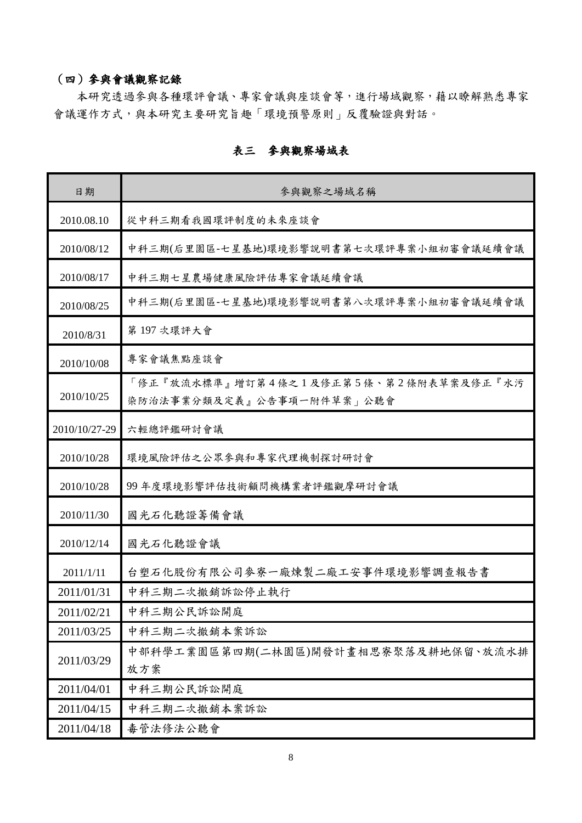### (四)參與會議觀察記錄

本研究透過參與各種環評會議、專家會議與座談會等,進行場域觀察,藉以瞭解熟悉專家 會議運作方式,與本研究主要研究旨趣「環境預警原則」反覆驗證與對話。

| 日期            | 參與觀察之場域名稱                                                          |
|---------------|--------------------------------------------------------------------|
| 2010.08.10    | 從中科三期看我國環評制度的未來座談會                                                 |
| 2010/08/12    | 中科三期(后里園區-七星基地)環境影響說明書第七次環評專案小組初審會議延續會議                            |
| 2010/08/17    | 中科三期七星農場健康風險評估專家會議延續會議                                             |
| 2010/08/25    | 中科三期(后里園區-七星基地)環境影響說明書第八次環評專案小組初審會議延續會議                            |
| 2010/8/31     | 第197次環評大會                                                          |
| 2010/10/08    | 專家會議焦點座談會                                                          |
| 2010/10/25    | 「修正『放流水標準』增訂第4條之1及修正第5條、第2條附表草案及修正『水污<br>染防治法事業分類及定義』公告事項一附件草案」公聽會 |
| 2010/10/27-29 | 六輕總評鑑研討會議                                                          |
| 2010/10/28    | 環境風險評估之公眾參與和專家代理機制探討研討會                                            |
| 2010/10/28    | 99年度環境影響評估技術顧問機構業者評鑑觀摩研討會議                                         |
| 2010/11/30    | 國光石化聽證籌備會議                                                         |
| 2010/12/14    | 國光石化聽證會議                                                           |
| 2011/1/11     | 台塑石化股份有限公司麥寮一廠煉製二廠工安事件環境影響調查報告書                                    |
| 2011/01/31    | 中科三期二次撤銷訴訟停止執行                                                     |
| 2011/02/21    | 中科三期公民訴訟開庭                                                         |
| 2011/03/25    | 中科三期二次撤銷本案訴訟                                                       |
| 2011/03/29    | 中部科學工業園區第四期(二林園區)開發計畫相思寮聚落及耕地保留、放流水排<br>放方案                        |
| 2011/04/01    | 中科三期公民訴訟開庭                                                         |
| 2011/04/15    | 中科三期二次撤銷本案訴訟                                                       |
| 2011/04/18    | 毒管法修法公聽會                                                           |

### 表三參與觀察場域表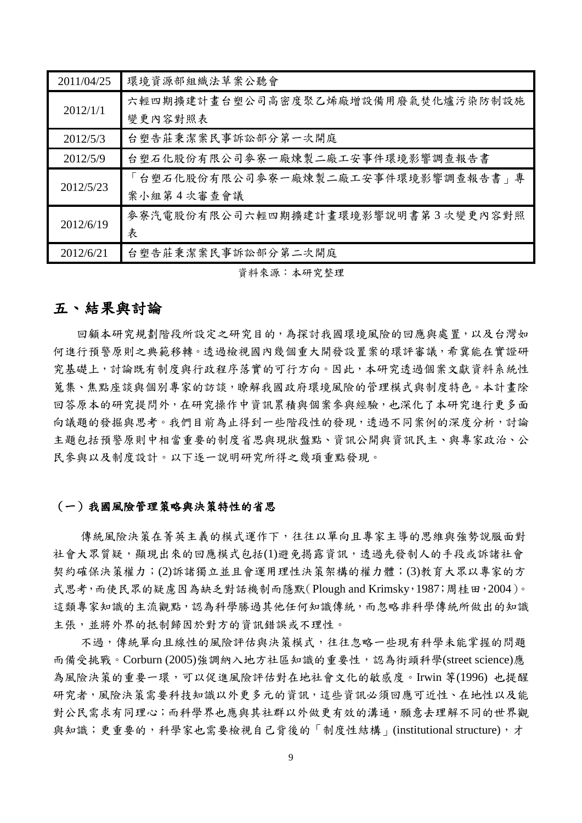| 2011/04/25 | 環境資源部組織法草案公聽會                      |
|------------|------------------------------------|
| 2012/1/1   | 六輕四期擴建計畫台塑公司高密度聚乙烯廠增設備用廢氣焚化爐污染防制設施 |
|            | 變更內容對照表                            |
| 2012/5/3   | 台塑告莊秉潔案民事訴訟部分第一次開庭                 |
| 2012/5/9   | 台塑石化股份有限公司麥寮一廠煉製二廠工安事件環境影響調查報告書    |
| 2012/5/23  | 「台塑石化股份有限公司麥寮一廠煉製二廠工安事件環境影響調查報告書」專 |
|            | 案小組第4次審查會議                         |
| 2012/6/19  | 麥寮汽電股份有限公司六輕四期擴建計畫環境影響說明書第3次變更內容對照 |
|            | 表                                  |
| 2012/6/21  | 台塑告莊秉潔案民事訴訟部分第二次開庭                 |

資料來源:本研究整理

### 五、結果與討論

回顧本研究規劃階段所設定之研究目的,為探討我國環境風險的回應與處置,以及台灣如 何進行預警原則之典範移轉。透過檢視國內幾個重大開發設置案的環評審議,希冀能在實證研 究基礎上,討論既有制度與行政程序落實的可行方向。因此,本研究透過個案文獻資料系統性 蒐集、焦點座談與個別專家的訪談,瞭解我國政府環境風險的管理模式與制度特色。本計畫除 回答原本的研究提問外,在研究操作中資訊累積與個案參與經驗,也深化了本研究進行更多面 向議題的發掘與思考。我們目前為止得到一些階段性的發現,透過不同案例的深度分析,討論 主題包括預警原則中相當重要的制度省思與現狀盤點、資訊公開與資訊民主、與專家政治、公 民參與以及制度設計。以下逐一說明研究所得之幾項重點發現。

#### (一)我國風險管理策略與決策特性的省思

傳統風險決策在菁英主義的模式運作下,往往以單向且專家主導的思維與強勢說服面對 社會大眾質疑,顯現出來的回應模式包括(1)避免揭露資訊,透過先發制人的手段或訴諸社會 契約確保決策權力;(2)訴諸獨立並且會運用理性決策架構的權力體;(3)教育大眾以專家的方 式思考,而使民眾的疑慮因為缺乏對話機制而隱默(Plough and Krimsky, 1987;周桂田, 2004)。 這類專家知識的主流觀點,認為科學勝過其他任何知識傳統,而忽略非科學傳統所做出的知識 主張,並將外界的抵制歸因於對方的資訊錯誤或不理性。

不過,傳統單向且線性的風險評估與決策模式,往往忽略一些現有科學未能掌握的問題 而備受挑戰。Corburn (2005)強調納入地方社區知識的重要性,認為街頭科學(street science)應 為風險決策的重要一環,可以促進風險評估對在地社會文化的敏感度。Irwin 等(1996) 也提醒 研究者,風險決策需要科技知識以外更多元的資訊,這些資訊必須回應可近性、在地性以及能 對公民需求有同理心;而科學界也應與其社群以外做更有效的溝通,願意去理解不同的世界觀 與知識;更重要的,科學家也需要檢視自己背後的「制度性結構」(institutional structure),才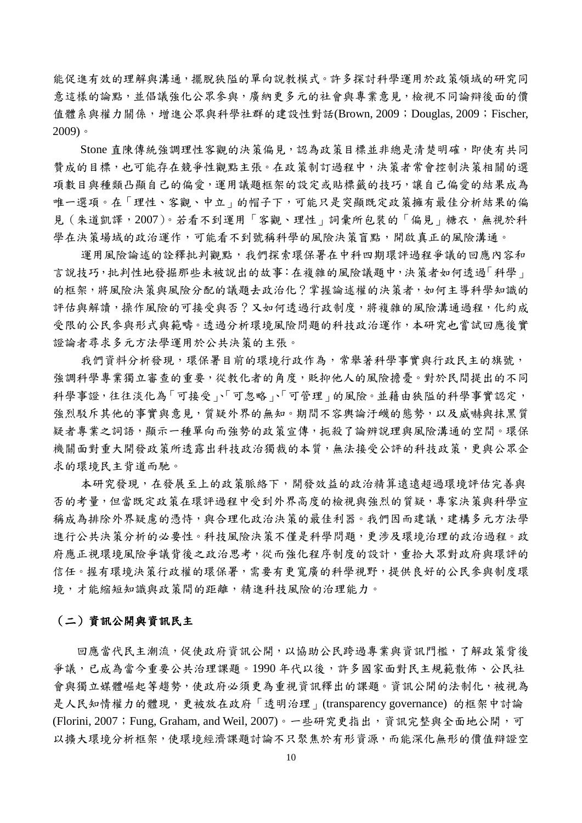能促進有效的理解與溝通,擺脫狹隘的單向說教模式。許多探討科學運用於政策領域的研究同 意這樣的論點,並倡議強化公眾參與,廣納更多元的社會與專業意見,檢視不同論辯後面的價 值體系與權力關係,增進公眾與科學社群的建設性對話(Brown, 2009;Douglas, 2009;Fischer,  $2009$ )。

Stone 直陳傳統強調理性客觀的決策偏見,認為政策目標並非總是清楚明確,即使有共同 贊成的目標,也可能存在競爭性觀點主張。在政策制訂過程中,決策者常會控制決策相關的選 項數目與種類凸顯自己的偏愛,運用議題框架的設定或貼標籤的技巧,讓自己偏愛的結果成為 唯一選項。在「理性、客觀、中立」的帽子下,可能只是突顯既定政策擁有最佳分析結果的偏 見 (朱道凱譯, 2007)。若看不到運用「客觀、理性」詞彙所包裝的「偏見」糖衣,無視於科 學在決策場域的政治運作,可能看不到號稱科學的風險決策盲點,開啟真正的風險溝通。

運用風險論述的詮釋批判觀點,我們探索環保署在中科四期環評過程爭議的回應內容和 言說技巧,批判性地發掘那些未被說出的故事:在複雜的風險議題中,決策者如何透過「科學」 的框架,將風險決策風險分配的議題去政治化?掌握論述權的決策者,如何主導科學知識的 評估與解讀,操作風險的可接受與否?又如何透過行政制度,將複雜的風險溝通過程,化約成 受限的公民參與形式與範疇。透過分析環境風險問題的科技政治運作,本研究也嘗試回應後實 證論者尋求多元方法學運用於公共決策的主張。

我們資料分析發現,環保署目前的環境行政作為,常舉著科學事實與行政民主的旗號, 強調科學專業獨立審查的重要,從教化者的角度,貶抑他人的風險擔憂。對於民間提出的不同 科學事證,往往淡化為「可接受」、「可忽略」、「可管理」的風險。並藉由狹隘的科學事實認定, 強烈駁斥其他的事實與意見,質疑外界的無知。期間不容輿論汙衊的態勢,以及威嚇與抹黑質 疑者專業之詞語,顯示一種單向而強勢的政策宣傳,扼殺了論辨說理與風險溝通的空間。環保 機關面對重大開發政策所透露出科技政治獨裁的本質,無法接受公評的科技政策,更與公眾企 求的環境民主背道而馳。

本研究發現,在發展至上的政策脈絡下,開發效益的政治精算遠遠超過環境評估完善與 否的考量,但當既定政策在環評過程中受到外界高度的檢視與強烈的質疑,專家決策與科學宣 稱成為排除外界疑慮的憑恃,與合理化政治決策的最佳利器。我們因而建議,建構多元方法學 進行公共決策分析的必要性。科技風險決策不僅是科學問題,更涉及環境治理的政治過程。政 府應正視環境風險爭議背後之政治思考,從而強化程序制度的設計,重拾大眾對政府與環評的 信任。握有環境決策行政權的環保署,需要有更寬廣的科學視野,提供良好的公民參與制度環 境,才能縮短知識與政策間的距離,精進科技風險的治理能力。

#### (二)資訊公開與資訊民主

回應當代民主潮流,促使政府資訊公開,以協助公民跨過專業與資訊門檻,了解政策背後 爭議,已成為當今重要公共治理課題。1990 年代以後,許多國家面對民主規範散佈、公民社 會與獨立媒體崛起等趨勢,使政府必須更為重視資訊釋出的課題。資訊公開的法制化,被視為 是人民知情權力的體現,更被放在政府「透明治理」(transparency governance) 的框架中討論 (Florini, 2007; Fung, Graham, and Weil, 2007)。一些研究更指出,資訊完整與全面地公開,可 以擴大環境分析框架,使環境經濟課題討論不只聚焦於有形資源,而能深化無形的價值辯證空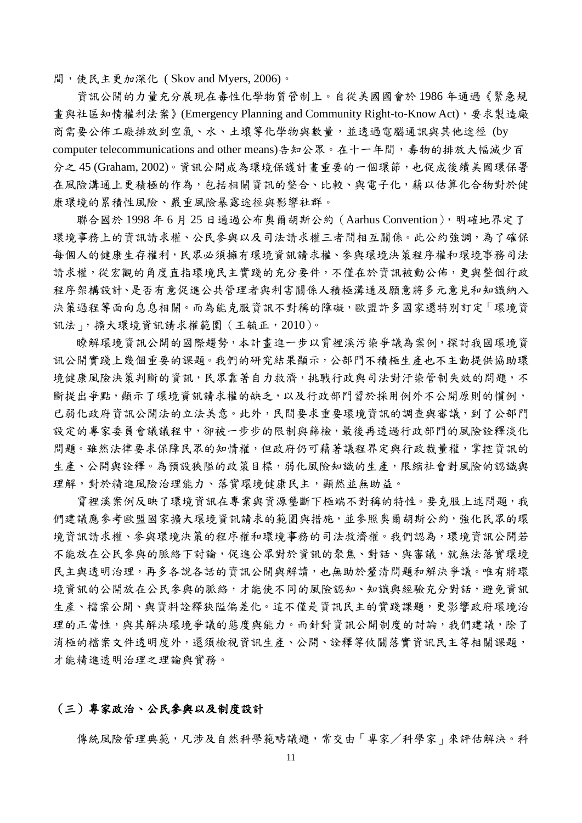間,使民主更加深化 ( Skov and Myers, 2006)。

資訊公開的力量充分展現在毒性化學物質管制上。自從美國國會於 1986 年通過《緊急規 畫與社區知情權利法案》(Emergency Planning and Community Right-to-Know Act),要求製造廠 商需要公佈工廠排放到空氣、水、土壤等化學物與數量,並透過電腦通訊與其他途徑 (by computer telecommunications and other means)告知公眾。在十一年間,毒物的排放大幅減少百 分之 45 (Graham, 2002)。資訊公開成為環境保護計畫重要的一個環節,也促成後續美國環保署 在風險溝通上更積極的作為,包括相關資訊的整合、比較、與電子化,藉以估算化合物對於健 康環境的累積性風險、嚴重風險暴露途徑與影響社群。

聯合國於 1998 年 6 月 25 日通過公布奧爾胡斯公約(Aarhus Convention),明確地界定了 環境事務上的資訊請求權、公民參與以及司法請求權三者間相互關係。此公約強調,為了確保 每個人的健康生存權利,民眾必須擁有環境資訊請求權、參與環境決策程序權和環境事務司法 請求權,從宏觀的角度直指環境民主實踐的充分要件,不僅在於資訊被動公佈,更與整個行政 程序架構設計、是否有意促進公共管理者與利害關係人積極溝通及願意將多元意見和知識納入 決策過程等面向息息相關。而為能克服資訊不對稱的障礙,歐盟許多國家還特別訂定「環境資 訊法」,擴大環境資訊請求權範圍(王毓正,2010)。

瞭解環境資訊公開的國際趨勢,本計畫進一步以霄裡溪污染爭議為案例,探討我國環境資 訊公開實踐上幾個重要的課題。我們的研究結果顯示,公部門不積極生產也不主動提供協助環 境健康風險決策判斷的資訊,民眾靠著自力救濟,挑戰行政與司法對汗染管制失效的問題,不 斷提出爭點,顯示了環境資訊請求權的缺乏,以及行政部門習於採用例外不公開原則的慣例, 已弱化政府資訊公開法的立法美意。此外,民間要求重要環境資訊的調查與審議,到了公部門 設定的專家委員會議議程中,卻被一步步的限制與篩檢,最後再透過行政部門的風險詮釋淡化 問題。雖然法律要求保障民眾的知情權,但政府仍可藉著議程界定與行政裁量權,掌控資訊的 生產、公開與詮釋。為預設狹隘的政策目標,弱化風險知識的生產,限縮社會對風險的認識與 理解,對於精進風險治理能力、落實環境健康民主,顯然並無助益。

霄裡溪案例反映了環境資訊在專業與資源壟斷下極端不對稱的特性。要克服上述問題,我 們建議應參考歐盟國家擴大環境資訊請求的範圍與措施,並參照奧爾胡斯公約,強化民眾的環 境資訊請求權、參與環境決策的程序權和環境事務的司法救濟權。我們認為,環境資訊公開若 不能放在公民參與的脈絡下討論,促進公眾對於資訊的聚焦、對話、與審議,就無法落實環境 民主與透明治理,再多各說各話的資訊公開與解讀,也無助於釐清問題和解決爭議。唯有將環 境資訊的公開放在公民參與的脈絡,才能使不同的風險認知、知識與經驗充分對話,避免資訊 生產、檔案公開、與資料詮釋狹隘偏差化。這不僅是資訊民主的實踐課題,更影響政府環境治 理的正當性,與其解決環境爭議的態度與能力。而針對資訊公開制度的討論,我們建議,除了 消極的檔案文件透明度外,還須檢視資訊生產、公開、詮釋等攸關落實資訊民主等相關課題, 才能精進透明治理之理論與實務。

### (三)專家政治、公民參與以及制度設計

傳統風險管理典範,凡涉及自然科學範疇議題,常交由「專家/科學家」來評估解決。科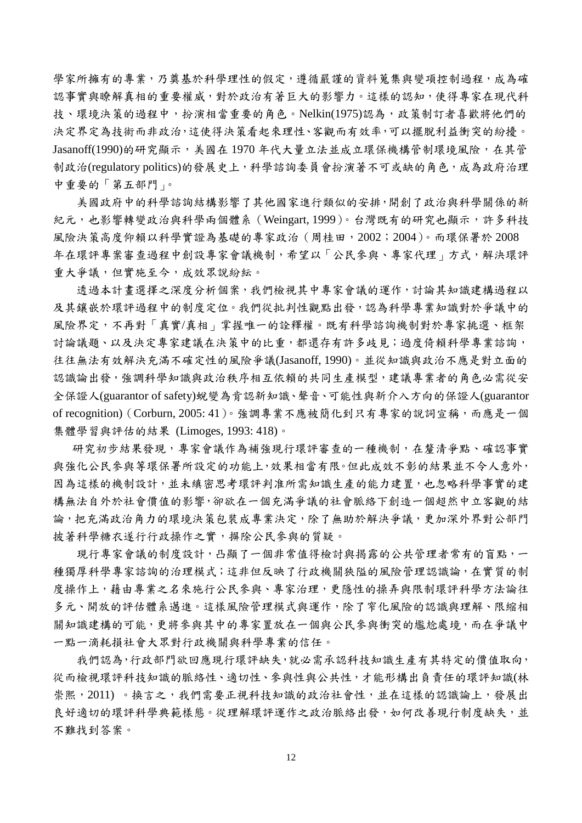學家所擁有的專業,乃奠基於科學理性的假定,遵循嚴謹的資料蒐集與變項控制過程,成為確 認事實與瞭解真相的重要權威,對於政治有著巨大的影響力。這樣的認知,使得專家在現代科 技、環境決策的過程中,扮演相當重要的角色。Nelkin(1975)認為,政策制訂者喜歡將他們的 決定界定為技術而非政治,這使得決策看起來理性、客觀而有效率,可以擺脫利益衝突的紛擾。 Jasanoff(1990)的研究顯示,美國在 1970 年代大量立法並成立環保機構管制環境風險,在其管 制政治(regulatory politics)的發展史上,科學諮詢委員會扮演著不可或缺的角色,成為政府治理 中重要的「第五部門」。

美國政府中的科學諮詢結構影響了其他國家進行類似的安排,開創了政治與科學關係的新 紀元,也影響轉變政治與科學兩個體系(Weingart, 1999)。台灣既有的研究也顯示,許多科技 風險決策高度仰賴以科學實證為基礎的專家政治(周桂田,2002;2004)。而環保署於 2008 年在環評專案審查過程中創設專家會議機制,希望以「公民參與、專家代理」方式,解決環評 重大爭議,但實施至今,成效眾說紛紜。

透過本計畫選擇之深度分析個案,我們檢視其中專家會議的運作,討論其知識建構過程以 及其鑲嵌於環評過程中的制度定位。我們從批判性觀點出發,認為科學專業知識對於爭議中的 風險界定,不再對「真實/真相」掌握唯一的詮釋權。既有科學諮詢機制對於專家挑選、框架 討論議題、以及決定專家建議在決策中的比重,都還存有許多歧見;過度倚賴科學專業諮詢, 往往無法有效解決充滿不確定性的風險爭議(Jasanoff, 1990)。並從知識與政治不應是對立面的 認識論出發,強調科學知識與政治秩序相互依賴的共同生產模型,建議專業者的角色必需從安 全保證人(guarantor of safety)蛻變為肯認新知識、聲音、可能性與新介入方向的保證人(guarantor of recognition) (Corburn, 2005: 41)。強調專業不應被簡化到只有專家的說詞宣稱,而應是一個 集體學習與評估的結果 (Limoges, 1993: 418)。

研究初步結果發現,專家會議作為補強現行環評審查的一種機制,在釐清爭點、確認事實 與強化公民參與等環保署所設定的功能上,效果相當有限。但此成效不彰的結果並不令人意外, 因為這樣的機制設計,並未縝密思考環評判准所需知識生產的能力建置,也忽略科學事實的建 構無法自外於社會價值的影響,卻欲在一個充滿爭議的社會脈絡下創造一個超然中立客觀的結 論,把充滿政治角力的環境決策包裝成專業決定,除了無助於解決爭議,更加深外界對公部門 披著科學糖衣遂行行政操作之實,摒除公民參與的質疑。

現行專家會議的制度設計,凸顯了一個非常值得檢討與揭露的公共管理者常有的盲點,一 種獨厚科學專家諮詢的治理模式;這非但反映了行政機關狹隘的風險管理認識論,在實質的制 度操作上,藉由專業之名來施行公民參與、專家治理,更隱性的操弄與限制環評科學方法論往 多元、開放的評估體系邁進。這樣風險管理模式與運作,除了窄化風險的認識與理解、限縮相 關知識建構的可能,更將參與其中的專家置放在一個與公民參與衝突的尷尬處境,而在爭議中 一點一滴耗損社會大眾對行政機關與科學專業的信任。

我們認為,行政部門欲回應現行環評缺失,就必需承認科技知識生產有其特定的價值取向, 從而檢視環評科技知識的脈絡性、適切性、參與性與公共性,才能形構出負責任的環評知識(林 崇熙,2011)。換言之,我們需要正視科技知識的政治社會性,並在這樣的認識論上,發展出 良好適切的環評科學典統樣態。從理解環評運作之政治脈絡出發,如何改善現行制度缺失,並 不難找到答案。

12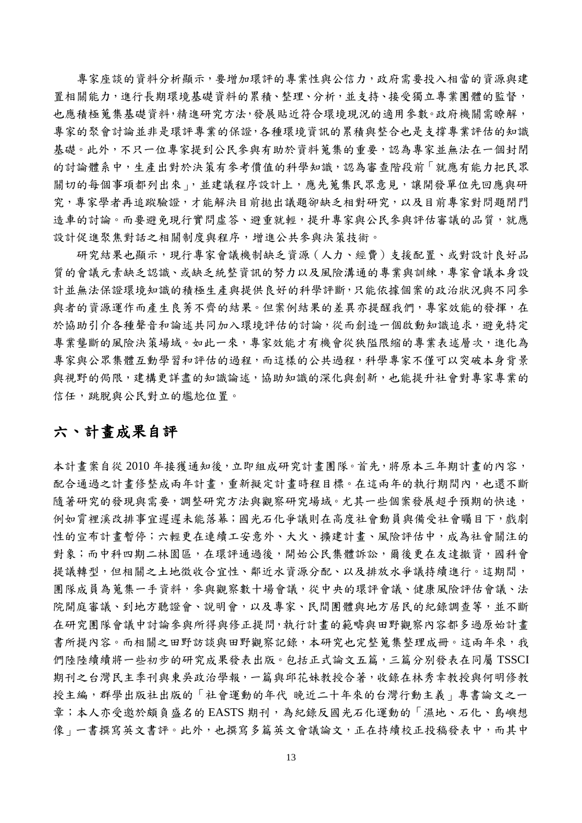專家座談的資料分析顯示,要增加環評的專業性與公信力,政府需要投入相當的資源與建 置相關能力,進行長期環境基礎資料的累積、整理、分析,並支持、接受獨立專業團體的監督, 也應積極蒐集基礎資料,精進研究方法,發展貼近符合環境現況的適用參數。政府機關需瞭解, 專家的聚會討論並非是環評專業的保證,各種環境資訊的累積與整合也是支撐專業評估的知識 基礎。此外,不只一位專家提到公民參與有助於資料蒐集的重要,認為專家並無法在一個封閉 的討論體系中,生產出對於決策有參考價值的科學知識,認為審查階段前「就應有能力把民眾 關切的每個事項都列出來」,並建議程序設計上,應先蒐集民眾意見,讓開發單位先回應與研 究,專家學者再追蹤驗證,才能解決目前拋出議題卻缺乏相對研究,以及目前專家對問題閉門 造車的討論。而要避免現行實問虛答、避重就輕,提升專家與公民參與評估審議的品質,就應 設計促進聚焦對話之相關制度與程序,增進公共參與決策技術。

研究結果也顯示,現行專家會議機制缺乏資源(人力、經費)支援配置、或對設計良好品 質的會議元素缺乏認識、或缺乏統整資訊的努力以及風險溝通的專業與訓練,專家會議本身設 計並無法保證環境知識的積極生產與提供良好的科學評斷,只能依據個案的政治狀況與不同參 與者的資源運作而產生良莠不齊的結果。但案例結果的差異亦提醒我們,專家效能的發揮,在 於協助引介各種聲音和論述共同加入環境評估的討論,從而創造一個啟動知識追求,避免特定 專業壟斷的風險決策場域。如此一來,專家效能才有機會從狹隘限縮的專業表述層次,進化為 專家與公眾集體互動學習和評估的過程,而這樣的公共過程,科學專家不僅可以突破本身背景 與視野的侷限,建構更詳盡的知識論述,協助知識的深化與創新,也能提升社會對專家專業的 信任,跳脫與公民對立的尷尬位置。

### 六、計畫成果自評

本計畫案自從 2010 年接獲通知後,立即組成研究計畫團隊。首先,將原本三年期計畫的內容, 配合通過之計畫修整成兩年計畫,重新擬定計畫時程目標。在這兩年的執行期間內,也還不斷 隨著研究的發現與需要,調整研究方法與觀察研究場域。尤其一些個案發展超乎預期的快速, 例如霄裡溪改排事宜遲遲未能落幕;國光石化爭議則在高度社會動員與備受社會矚目下,戲劇 性的宣布計畫暫停;六輕更在連續工安意外、大火、擴建計畫、風險評估中,成為社會關注的 對象;而中科四期二林園區,在環評通過後,開始公民集體訴訟,爾後更在友達撤資,國科會 提議轉型,但相關之土地徵收合宜性、鄰近水資源分配、以及排放水爭議持續進行。這期間, 團隊成員為蒐集一手資料,參與觀察數十場會議,從中央的環評會議、健康風險評估會議、法 院開庭審議、到地方聽證會、說明會,以及專家、民間團體與地方居民的紀錄調查等,並不斷 在研究團隊會議中討論參與所得與修正提問,執行計畫的範疇與田野觀察內容都多過原始計畫 書所提內容。而相關之田野該與田野觀察記錄,本研究也完整蒐集整理成冊。這兩年來,我 們陸陸續續將一些初步的研究成果發表出版。包括正式論文五篇,三篇分別發表在同屬 TSSCI 期刊之台灣民主季刊與東吳政治學報,一篇與邱花妹教授合著,收錄在林秀幸教授與何明修教 授主編,群學出版社出版的「社會運動的年代 晚近二十年來的台灣行動主義」專書論文之一 章;本人亦受邀於頗負盛名的 EASTS 期刊,為紀錄反國光石化運動的「濕地、石化、島嶼想 像」一書撰寫英文書評。此外,也撰寫多篇英文會議論文,正在持續校正投稿發表中,而其中

13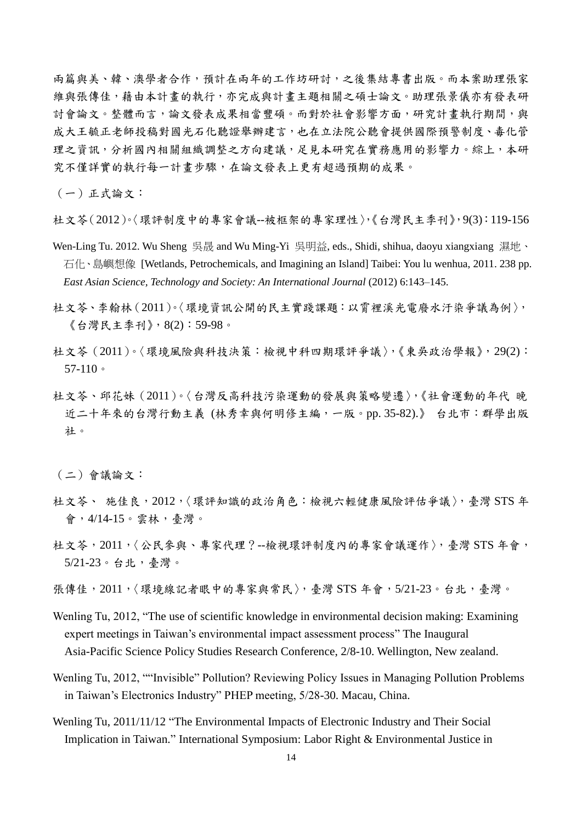兩篇與美、韓、澳學者合作,預計在兩年的工作坊研討,之後集結專書出版。而本案助理張家 維與張傳佳,藉由本計畫的執行,亦完成與計畫主題相關之碩士論文。助理張景儀亦有發表研 討會論文。整體而言,論文發表成果相當豐碩。而對於社會影響方面,研究計畫執行期間,與 成大王毓正老師投稿對國光石化聽證舉辦建言,也在立法院公聽會提供國際預警制度、毒化管 理之資訊,分析國內相關組織調整之方向建議,足見本研究在實務應用的影響力。綜上,本研 究不僅詳實的執行每一計畫步驟,在論文發表上更有超過預期的成果。

(一)正式論文:

杜文苓(2012)。〈環評制度中的專家會議--被框架的專家理性〉,《台灣民主季刊》,9(3):119-156

- Wen-Ling Tu. 2012. Wu Sheng 吳晟 and Wu Ming-Yi 吳明益, eds., Shidi, shihua, daoyu xiangxiang 濕地、 石化、島嶼想像 [Wetlands, Petrochemicals, and Imagining an Island] Taibei: You lu wenhua, 2011. 238 pp. *East Asian Science, Technology and Society: An International Journal* (2012) 6:143–145.
- 杜文苓、李翰林(2011)。〈環境資訊公開的民主實踐課題:以霄裡溪光電廢水汙染爭議為例〉, 《台灣民主季刊》,8(2):59-98。
- 杜文苓(2011)。〈環境風險與科技決策:檢視中科四期環評爭議〉,《東吳政治學報》,29(2): 57-110。
- 杜文苓、邱花妹(2011)。〈台灣反高科技污染運動的發展與策略變遷〉,《社會運動的年代 晚 近二十年來的台灣行動主義 (林秀幸與何明修主編,一版。pp. 35-82).》 台北市:群學出版 社。

(二)會議論文:

- 杜文芩、 施佳良,2012,〈環評知識的政治角色:檢視六輕健康風險評估爭議〉,臺灣 STS 年 會,4/14-15。雲林,臺灣。
- 杜文苓,2011,〈公民參與、專家代理?--檢視環評制度內的專家會議運作〉,臺灣 STS 年會, 5/21-23。台北,臺灣。
- 張傳佳, 2011, 〈環境線記者眼中的專家與常民〉, 臺灣 STS 年會, 5/21-23。台北, 臺灣。
- Wenling Tu, 2012, "The use of scientific knowledge in environmental decision making: Examining expert meetings in Taiwan's environmental impact assessment process" The Inaugural Asia-Pacific Science Policy Studies Research Conference, 2/8-10. Wellington, New zealand.
- Wenling Tu, 2012, ""Invisible" Pollution? Reviewing Policy Issues in Managing Pollution Problems in Taiwan's Electronics Industry" PHEP meeting, 5/28-30. Macau, China.
- Wenling Tu, 2011/11/12 "The Environmental Impacts of Electronic Industry and Their Social Implication in Taiwan." International Symposium: Labor Right & Environmental Justice in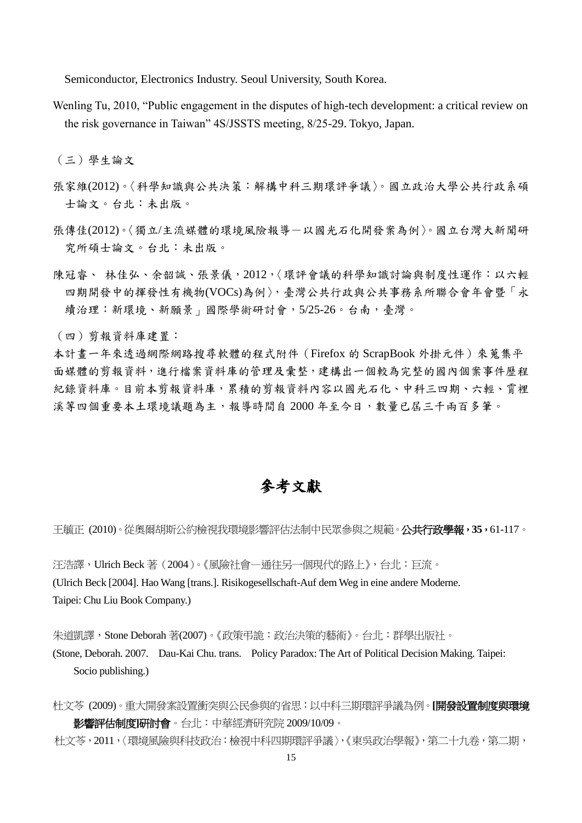Semiconductor, Electronics Industry. Seoul University, South Korea.

Wenling Tu, 2010, "Public engagement in the disputes of high-tech development: a critical review on the risk governance in Taiwan" 4S/JSSTS meeting, 8/25-29. Tokyo, Japan.

(三)學生論文

- 張家維(2012)。〈科學知識與公共決策:解構中科三期環評爭議〉。國立政治大學公共行政系碩 士論文。台北:未出版。
- 張傳佳(2012)。〈獨立/主流媒體的環境風險報導-以國光石化開發案為例〉。國立台灣大新聞研 究所碩士論文。台北:未出版。
- 陳冠睿、 林佳弘、余韶誠、張景儀,2012,〈環評會議的科學知識討論與制度性運作:以六輕 四期開發中的揮發性有機物(VOCs)為例〉,臺灣公共行政與公共事務系所聯合會年會暨「永 續治理:新環境、新願景」國際學術研討會,5/25-26。台南,臺灣。

(四)剪報資料庫建置:

本計畫一年來透過網際網路搜尋軟體的程式附件(Firefox 的 ScrapBook 外掛元件)來蒐集平 面媒體的剪報資料,進行檔案資料庫的管理及彙整,建構出一個較為完整的國內個案事件歷程 紀錄資料庫。目前本剪報資料的剪報資料內容以國光石化、中科三四期、六輕、霄裡 溪等四個重要本土環境議題為主,報導時間自 2000 年至今日,數量已屆三千兩百多筆。

### 參考文獻

王毓正 (2010)。從奧爾胡斯公約檢視我環境影響評估法制中民眾參與之規範。公共行政學報,**35**,61-117。

汪浩譯,Ulrich Beck 著(2004)。《風險社會—通往另一個現代的路上》,台北:巨流。 (Ulrich Beck [2004]. Hao Wang [trans.]. Risikogesellschaft-Auf dem Weg in eine andere Moderne. Taipei: Chu Liu Book Company.)

朱道凱譯,Stone Deborah 著(2007)。《政策弔詭:政治決策的藝術》。台北:群學出版社。

- (Stone, Deborah. 2007. Dau-Kai Chu. trans. Policy Paradox: The Art of Political Decision Making. Taipei: Socio publishing.)
- 杜文苓 (2009)。重大開發案設置衝突與公民參與的省思:以中科三期環評爭議為例。**[**開發設置制度與環境 影響評估制度**]**研討會。台北:中華經濟研究院 2009/10/09。
- 杜文苓,2011,〈環境風險與科技政治:檢視中科四期環評爭議〉,《東吳政治學報》,第二十九卷,第二期,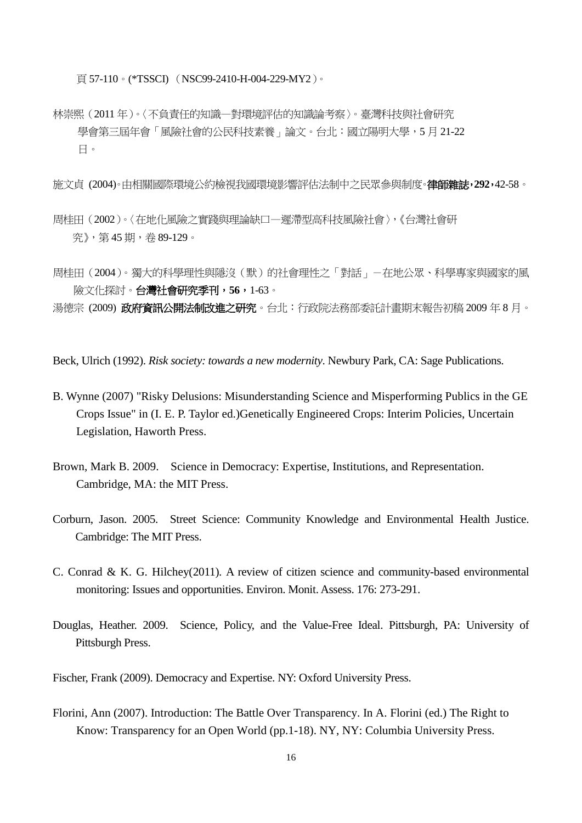頁 57-110。(\*TSSCI) (NSC99-2410-H-004-229-MY2)。

林崇熙(2011 年)。〈不負責任的知識—對環境評估的知識論考察〉。臺灣科技與社會研究 學會第三屆年會「風險社會的公民科技素養」論文。台北:國立陽明大學,5月21-22 日。

施文貞 (2004)。由相關國際環境公約檢視我國環境影響評估法制中之民眾參與制度。律師雜誌,**292**,42-58。

- 周桂田(2002)。〈在地化風險之實踐與理論缺口—遲滯型高科技風險社會〉,《台灣社會研 究》,第 45 期,卷 89-129。
- 周桂田(2004)。獨大的科學理性與隱沒(默)的社會理性之「對話」-在地公眾、科學專家與國家的風 險文化探討。台灣社會研究季刊,**56**,1-63。

湯德宗 (2009) 政府資訊公開法制改進之研究。台北:行政院法務部委託計畫期末報告初稿 2009 年 8 月。

Beck, Ulrich (1992). *Risk society: towards a new modernity*. Newbury Park, CA: Sage Publications.

- B. Wynne (2007) "Risky Delusions: Misunderstanding Science and Misperforming Publics in the GE Crops Issue" in (I. E. P. Taylor ed.)Genetically Engineered Crops: Interim Policies, Uncertain Legislation, Haworth Press.
- Brown, Mark B. 2009. Science in Democracy: Expertise, Institutions, and Representation. Cambridge, MA: the MIT Press.
- Corburn, Jason. 2005. Street Science: Community Knowledge and Environmental Health Justice. Cambridge: The MIT Press.
- C. Conrad & K. G. Hilchey(2011). A review of citizen science and community-based environmental monitoring: Issues and opportunities. Environ. Monit. Assess. 176: 273-291.
- Douglas, Heather. 2009. Science, Policy, and the Value-Free Ideal. Pittsburgh, PA: University of Pittsburgh Press.
- Fischer, Frank (2009). Democracy and Expertise. NY: Oxford University Press.
- Florini, Ann (2007). Introduction: The Battle Over Transparency. In A. Florini (ed.) The Right to Know: Transparency for an Open World (pp.1-18). NY, NY: Columbia University Press.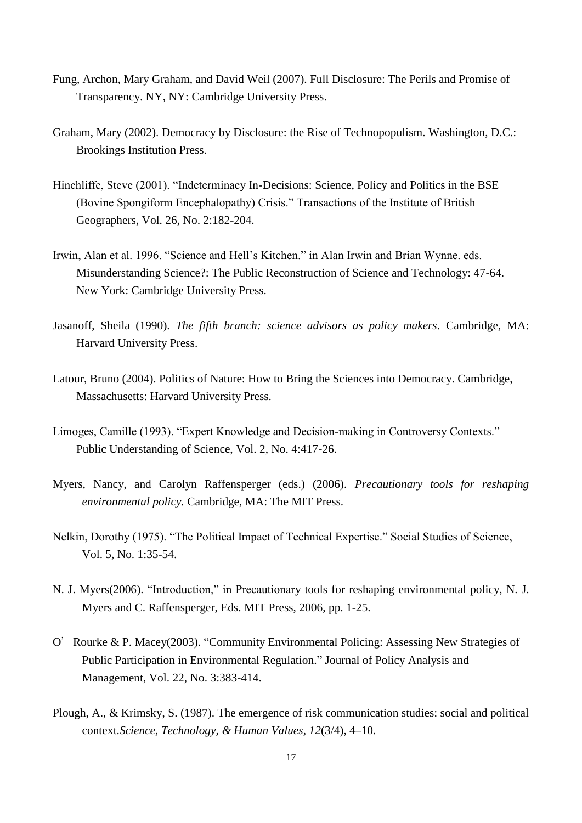- Fung, Archon, Mary Graham, and David Weil (2007). Full Disclosure: The Perils and Promise of Transparency. NY, NY: Cambridge University Press.
- Graham, Mary (2002). Democracy by Disclosure: the Rise of Technopopulism. Washington, D.C.: Brookings Institution Press.
- Hinchliffe, Steve (2001). "Indeterminacy In-Decisions: Science, Policy and Politics in the BSE (Bovine Spongiform Encephalopathy) Crisis." Transactions of the Institute of British Geographers, Vol. 26, No. 2:182-204.
- Irwin, Alan et al. 1996. "Science and Hell's Kitchen." in Alan Irwin and Brian Wynne. eds. Misunderstanding Science?: The Public Reconstruction of Science and Technology: 47-64. New York: Cambridge University Press.
- Jasanoff, Sheila (1990). *The fifth branch: science advisors as policy makers*. Cambridge, MA: Harvard University Press.
- Latour, Bruno (2004). Politics of Nature: How to Bring the Sciences into Democracy. Cambridge, Massachusetts: Harvard University Press.
- Limoges, Camille (1993). "Expert Knowledge and Decision-making in Controversy Contexts." Public Understanding of Science, Vol. 2, No. 4:417-26.
- Myers, Nancy, and Carolyn Raffensperger (eds.) (2006). *Precautionary tools for reshaping environmental policy.* Cambridge, MA: The MIT Press.
- Nelkin, Dorothy (1975). "The Political Impact of Technical Expertise." Social Studies of Science, Vol. 5, No. 1:35-54.
- N. J. Myers(2006). "Introduction," in Precautionary tools for reshaping environmental policy, N. J. Myers and C. Raffensperger, Eds. MIT Press, 2006, pp. 1-25.
- O'Rourke & P. Macey(2003). "Community Environmental Policing: Assessing New Strategies of Public Participation in Environmental Regulation." Journal of Policy Analysis and Management, Vol. 22, No. 3:383-414.
- Plough, A., & Krimsky, S. (1987). The emergence of risk communication studies: social and political context.*Science, Technology, & Human Values, 12*(3/4), 4–10.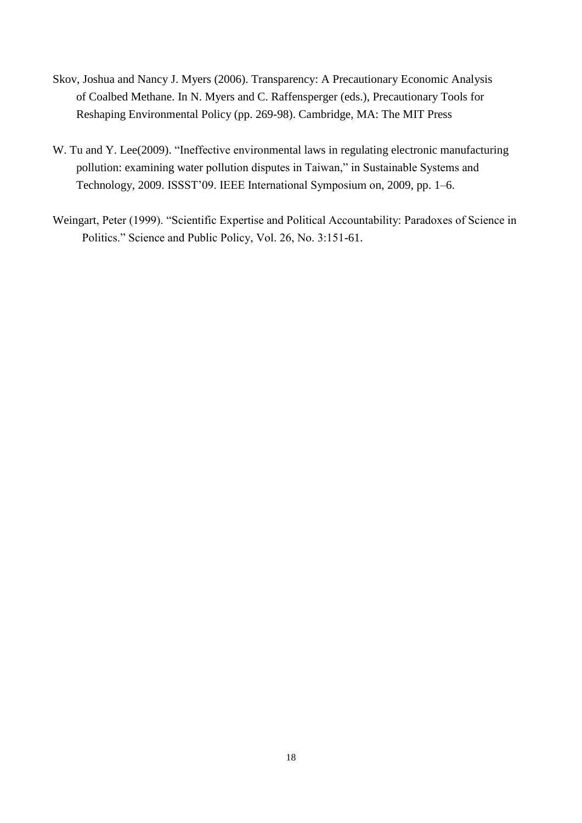- Skov, Joshua and Nancy J. Myers (2006). Transparency: A Precautionary Economic Analysis of Coalbed Methane. In N. Myers and C. Raffensperger (eds.), Precautionary Tools for Reshaping Environmental Policy (pp. 269-98). Cambridge, MA: The MIT Press
- W. Tu and Y. Lee(2009). "Ineffective environmental laws in regulating electronic manufacturing pollution: examining water pollution disputes in Taiwan," in Sustainable Systems and Technology, 2009. ISSST'09. IEEE International Symposium on, 2009, pp. 1–6.
- Weingart, Peter (1999). "Scientific Expertise and Political Accountability: Paradoxes of Science in Politics." Science and Public Policy, Vol. 26, No. 3:151-61.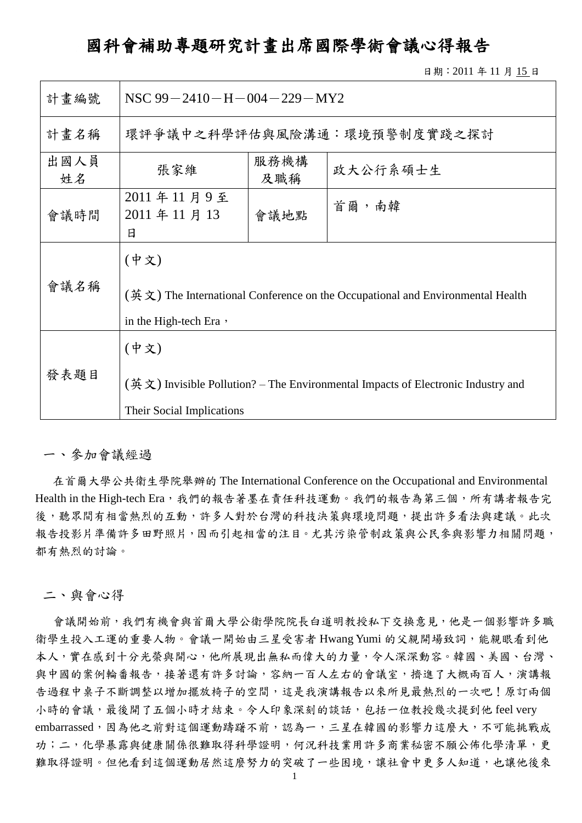## 國科會補助專題研究計畫出席國際學術會議心得報告

日期:2011 年 11 月 15 日

| 計畫編號       | NSC $99 - 2410 - H - 004 - 229 - MY2$                                                                                                                 |                             |  |  |  |
|------------|-------------------------------------------------------------------------------------------------------------------------------------------------------|-----------------------------|--|--|--|
| 計畫名稱       |                                                                                                                                                       | 環評爭議中之科學評估與風險溝通:環境預警制度實踐之探討 |  |  |  |
| 出國人員<br>姓名 | 服務機構<br>政大公行系碩士生<br>張家維<br>及職稱                                                                                                                        |                             |  |  |  |
| 會議時間       | 2011年11月9至<br>首爾,南韓<br>2011年11月13<br>會議地點<br>日                                                                                                        |                             |  |  |  |
| 會議名稱       | (中文)<br>$(\frac{3\pi}{2})$ The International Conference on the Occupational and Environmental Health<br>in the High-tech Era ,                        |                             |  |  |  |
| 發表題目       | (中文)<br>$(\frac{\text{H}}{\text{H}} \times)$ Invisible Pollution? – The Environmental Impacts of Electronic Industry and<br>Their Social Implications |                             |  |  |  |

#### 一、參加會議經過

在首爾大學公共衛生學院舉辦的 The International Conference on the Occupational and Environmental Health in the High-tech Era,我們的報告著墨在責任科技運動。我們的報告為第三個,所有講者報告完 後,聽眾間有相當熱烈的互動,許多人對於台灣的科技決策與環境問題,提出許多看法與建議。此次 報告投影片準備許多田野照片,因而引起相當的注目。尤其污染管制政策與公民參與影響力相關問題, 都有熱烈的討論。

二、與會心得

會議開始前,我們有機會與首爾大學公衛學院院長白道明教授私下交換意見,他是一個影響許多職 衛學生投入工運的重要人物。會議一開始由三星受害者 Hwang Yumi 的父親開場致詞,能親眼看到他 本人,實在感到十分光榮與開心,他所展現出無私而偉大的力量,令人深深動容。韓國、美國、台灣、 與中國的案例輪番報告,接著還有許多討論,容納一百人左右的會議室,擠進了大概兩百人,演講報 告過程中桌子不斷調整以增加擺放椅子的空間,這是我演講報告以來所見最熱烈的一次吧!原訂兩個 小時的會議,最後開了五個小時才結束。令人印象深刻的談話,包括一位教授幾次提到他 feel very embarrassed,因為他之前對這個運動躊躇不前,認為一,三星在韓國的影響力這麼大,不可能挑戰成 功;二,化學暴露與健康關係很難取得科學證明,何況科技業用許多商業秘密不願公佈化學清單,更 難取得證明。但他看到這個運動居然這麼努力的突破了一些困境,讓社會中更多人知道,也讓他後來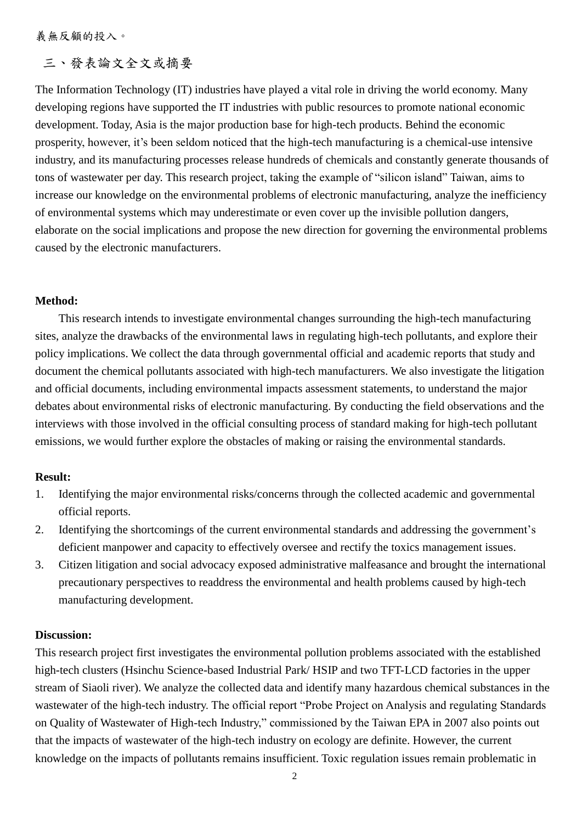義無反顧的投入。

### 三、發表論文全文或摘要

The Information Technology (IT) industries have played a vital role in driving the world economy. Many developing regions have supported the IT industries with public resources to promote national economic development. Today, Asia is the major production base for high-tech products. Behind the economic prosperity, however, it's been seldom noticed that the high-tech manufacturing is a chemical-use intensive industry, and its manufacturing processes release hundreds of chemicals and constantly generate thousands of tons of wastewater per day. This research project, taking the example of "silicon island" Taiwan, aims to increase our knowledge on the environmental problems of electronic manufacturing, analyze the inefficiency of environmental systems which may underestimate or even cover up the invisible pollution dangers, elaborate on the social implications and propose the new direction for governing the environmental problems caused by the electronic manufacturers.

#### **Method:**

This research intends to investigate environmental changes surrounding the high-tech manufacturing sites, analyze the drawbacks of the environmental laws in regulating high-tech pollutants, and explore their policy implications. We collect the data through governmental official and academic reports that study and document the chemical pollutants associated with high-tech manufacturers. We also investigate the litigation and official documents, including environmental impacts assessment statements, to understand the major debates about environmental risks of electronic manufacturing. By conducting the field observations and the interviews with those involved in the official consulting process of standard making for high-tech pollutant emissions, we would further explore the obstacles of making or raising the environmental standards.

### **Result:**

- 1. Identifying the major environmental risks/concerns through the collected academic and governmental official reports.
- 2. Identifying the shortcomings of the current environmental standards and addressing the government's deficient manpower and capacity to effectively oversee and rectify the toxics management issues.
- 3. Citizen litigation and social advocacy exposed administrative malfeasance and brought the international precautionary perspectives to readdress the environmental and health problems caused by high-tech manufacturing development.

#### **Discussion:**

This research project first investigates the environmental pollution problems associated with the established high-tech clusters (Hsinchu Science-based Industrial Park/ HSIP and two TFT-LCD factories in the upper stream of Siaoli river). We analyze the collected data and identify many hazardous chemical substances in the wastewater of the high-tech industry. The official report "Probe Project on Analysis and regulating Standards on Quality of Wastewater of High-tech Industry," commissioned by the Taiwan EPA in 2007 also points out that the impacts of wastewater of the high-tech industry on ecology are definite. However, the current knowledge on the impacts of pollutants remains insufficient. Toxic regulation issues remain problematic in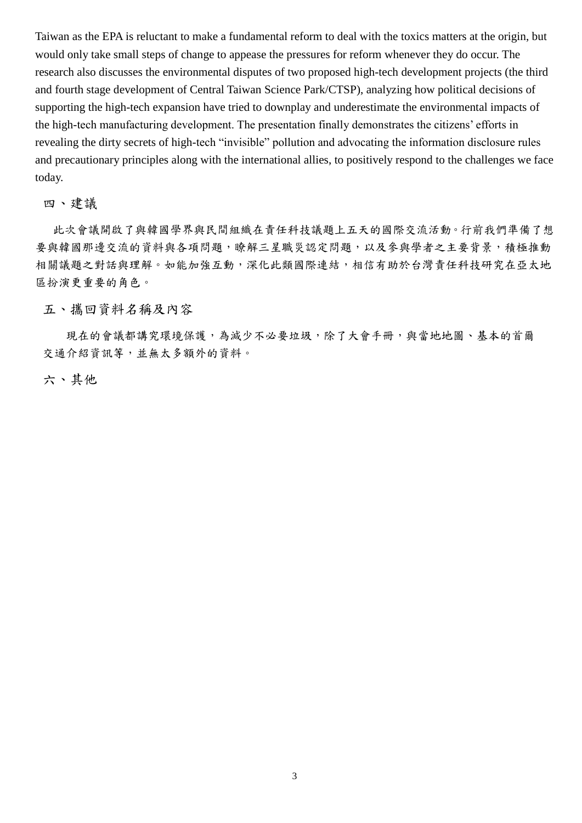Taiwan as the EPA is reluctant to make a fundamental reform to deal with the toxics matters at the origin, but would only take small steps of change to appease the pressures for reform whenever they do occur. The research also discusses the environmental disputes of two proposed high-tech development projects (the third and fourth stage development of Central Taiwan Science Park/CTSP), analyzing how political decisions of supporting the high-tech expansion have tried to downplay and underestimate the environmental impacts of the high-tech manufacturing development. The presentation finally demonstrates the citizens' efforts in revealing the dirty secrets of high-tech "invisible" pollution and advocating the information disclosure rules and precautionary principles along with the international allies, to positively respond to the challenges we face today.

### 四、建議

此次會議開啟了與韓國學界與民間組織在責任科技議題上五天的國際交流活動。行前我們準備了想 要與韓國那邊交流的資料與各項問題,瞭解三星職災認定問題,以及參與學者之主要背景,積極推動 相關議題之對話與理解。如能加強互動,深化此類國際連結,相信有助於台灣責任科技研究在亞太地 區扮演更重要的角色。

#### 五、攜回資料名稱及內容

現在的會議都講究環境保護,為減少不必要垃圾,除了大會手冊,與當地地圖、基本的首爾 交通介紹資訊等,並無太多額外的資料。

### 六、其他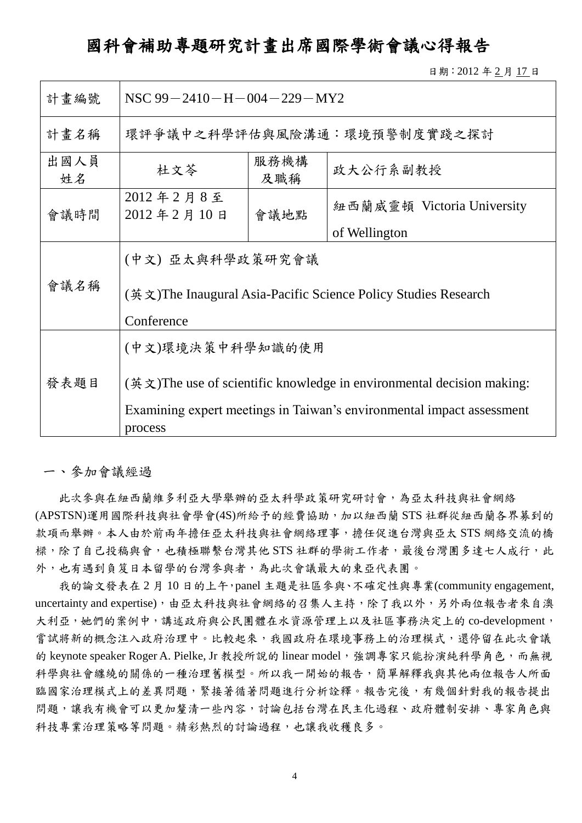### 國科會補助專題研究計畫出席國際學術會議心得報告

日期:2012 年 2 月 17 日

| 計畫編號       | NSC $99 - 2410 - H - 004 - 229 - MY2$                                                                                                                                                        |  |                             |  |  |
|------------|----------------------------------------------------------------------------------------------------------------------------------------------------------------------------------------------|--|-----------------------------|--|--|
| 計畫名稱       |                                                                                                                                                                                              |  | 環評爭議中之科學評估與風險溝通:環境預警制度實踐之探討 |  |  |
| 出國人員<br>姓名 | 服務機構<br>杜文芩<br>政大公行系副教授<br>及職稱                                                                                                                                                               |  |                             |  |  |
| 會議時間       | 2012年2月8至<br>紐西蘭威靈頓 Victoria University<br>2012年2月10日<br>會議地點<br>of Wellington                                                                                                               |  |                             |  |  |
| 會議名稱       | (中文) 亞太與科學政策研究會議<br>(英文)The Inaugural Asia-Pacific Science Policy Studies Research<br>Conference                                                                                             |  |                             |  |  |
| 發表題目       | (中文)環境決策中科學知識的使用<br>$(\frac{3\pi}{2})$ The use of scientific knowledge in environmental decision making:<br>Examining expert meetings in Taiwan's environmental impact assessment<br>process |  |                             |  |  |

一、參加會議經過

此次參與在紐西蘭維多利亞大學舉辦的亞太科學政策研究研討會,為亞太科技與社會網絡 (APSTSN)運用國際科技與社會學會(4S)所給予的經費協助,加以紐西蘭 STS 社群從紐西蘭各界募到的 款項而舉辦。本人由於前兩年擔任亞太科技與社會網絡理事,擔任促進台灣與亞太 STS 網絡交流的橋 樑,除了自己投稿與會,也積極聯繫台灣其他 STS 社群的學術工作者,最後台灣團多達七人成行,此 外,也有遇到負笈日本留學的台灣參與者,為此次會議最大的東亞代表團。

我的論文發表在 2 月 10 日的上午,panel 主題是社區參與、不確定性與專業(community engagement, uncertainty and expertise),由亞太科技與社會網絡的召集人主持,除了我以外,另外兩位報告者來自澳 大利亞,她們的案例中,講述政府與公民團體在水資源管理上以及社區事務決定上的 co-development, 嘗試將新的概念注入政府治理中。比較起來,我國政府在環境事務上的治理模式,還停留在此次會議 的 keynote speaker Roger A. Pielke, Jr 教授所說的 linear model, 強調專家只能扮演純科學角色, 而無視 科學與社會纏繞的關係的一種治理舊模型。所以我一開始的報告,簡單解釋我與其他兩位報告人所面 臨國家治理模式上的差異問題,緊接著循著問題進行分析詮釋。報告完後,有幾個針對我的報告提出 問題,讓我有機會可以更加釐清一些內容,討論包括台灣在民主化過程、政府體制安排、專家角色與 科技專業治理策略等問題。精彩熱烈的討論過程,也讓我收穫良多。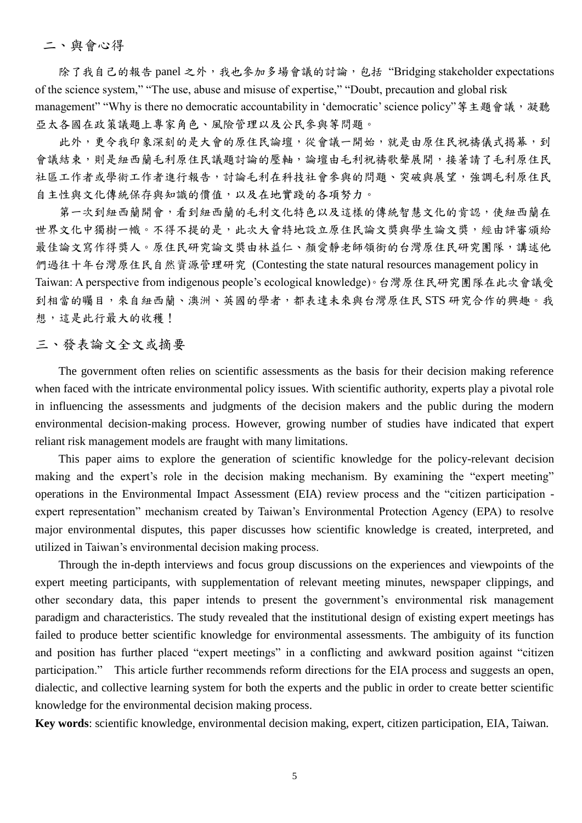二、與會心得

除了我自己的報告 panel 之外,我也參加多場會議的討論,包括"Bridging stakeholder expectations of the science system," "The use, abuse and misuse of expertise," "Doubt, precaution and global risk management" "Why is there no democratic accountability in 'democratic' science policy"等主題會議,凝聽 亞太各國在政策議題上專家角色、風險管理以及公民參與等問題。

此外,更令我印象深刻的是大會的原住民論壇,從會議一開始,就是由原住民祝禱儀式揭幕,到 會議結束,則是紐西蘭毛利原住民議題討論的壓軸,論壇由毛利祝禱歌聲展開,接著請了毛利原住民 社區工作者或學術工作者進行報告,討論毛利在科技社會參與的問題、突破與展望,強調毛利原住民 自主性與文化傳統保存與知識的價值,以及在地實踐的各項努力。

第一次到紐西蘭開會,看到紐西蘭的毛利文化特色以及這樣的傳統智慧文化的肯認,使紐西蘭在 世界文化中獨樹一幟。不得不提的是,此次大會特地設立原住民論文獎與學生論文獎,經由評審頒給 最佳論文寫作得獎人。原住民研究論文獎由林益仁、顏愛靜老師領銜的台灣原住民研究團隊,講述他 們過往十年台灣原住民自然資源管理研究 (Contesting the state natural resources management policy in Taiwan: A perspective from indigenous people's ecological knowledge)。台灣原住民研究團隊在此次會議受 到相當的矚目,來自紐西蘭、澳洲、英國的學者,都表達未來與台灣原住民 STS 研究合作的興趣。我 想,這是此行最大的收穫!

### 三、發表論文全文或摘要

The government often relies on scientific assessments as the basis for their decision making reference when faced with the intricate environmental policy issues. With scientific authority, experts play a pivotal role in influencing the assessments and judgments of the decision makers and the public during the modern environmental decision-making process. However, growing number of studies have indicated that expert reliant risk management models are fraught with many limitations.

This paper aims to explore the generation of scientific knowledge for the policy-relevant decision making and the expert's role in the decision making mechanism. By examining the "expert meeting" operations in the Environmental Impact Assessment (EIA) review process and the "citizen participation expert representation" mechanism created by Taiwan's Environmental Protection Agency (EPA) to resolve major environmental disputes, this paper discusses how scientific knowledge is created, interpreted, and utilized in Taiwan's environmental decision making process.

Through the in-depth interviews and focus group discussions on the experiences and viewpoints of the expert meeting participants, with supplementation of relevant meeting minutes, newspaper clippings, and other secondary data, this paper intends to present the government's environmental risk management paradigm and characteristics. The study revealed that the institutional design of existing expert meetings has failed to produce better scientific knowledge for environmental assessments. The ambiguity of its function and position has further placed "expert meetings" in a conflicting and awkward position against "citizen participation." This article further recommends reform directions for the EIA process and suggests an open, dialectic, and collective learning system for both the experts and the public in order to create better scientific knowledge for the environmental decision making process.

**Key words**: scientific knowledge, environmental decision making, expert, citizen participation, EIA, Taiwan.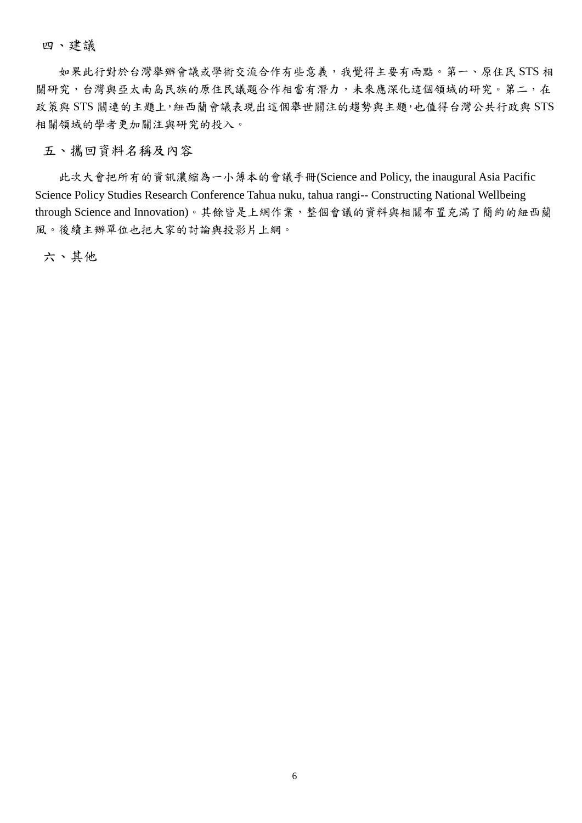四、建議

如果此行對於台灣舉辦會議或學術交流合作有些意義,我覺得主要有兩點。第一、原住民 STS 相 關研究,台灣與亞太南島民族的原住民議題合作相當有潛力,未來應深化這個領域的研究。第二,在 政策與 STS 關連的主題上,紐西蘭會議表現出這個舉世關注的趨勢與主題,也值得台灣公共行政與 STS 相關領域的學者更加關注與研究的投入。

### 五、攜回資料名稱及內容

此次大會把所有的資訊濃縮為一小薄本的會議手冊(Science and Policy, the inaugural Asia Pacific Science Policy Studies Research Conference Tahua nuku, tahua rangi-- Constructing National Wellbeing through Science and Innovation)。其餘皆是上網作業,整個會議的資料與相關布置充滿了簡約的紐西蘭 風。後續主辦單位也把大家的討論與投影片上網。

六、其他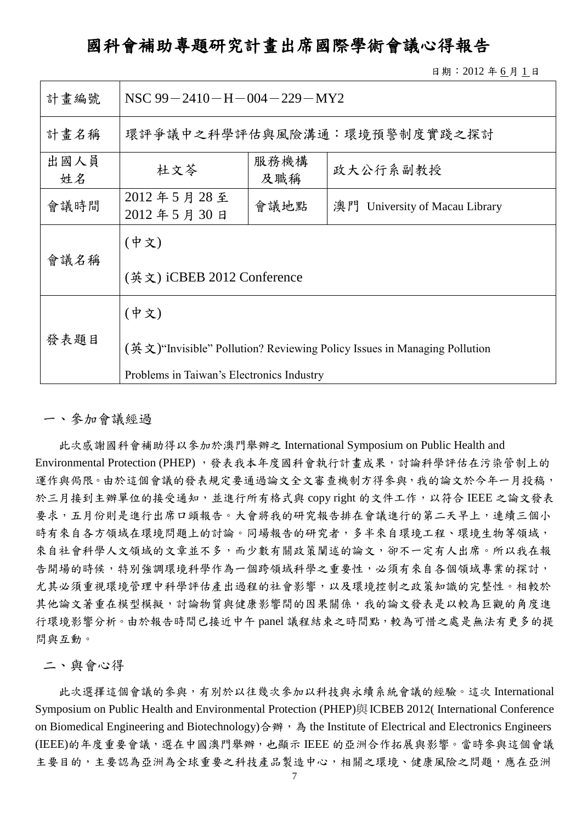# 國科會補助專題研究計畫出席國際學術會議心得報告

日期:2012 年 6 月 1 日

| 計畫編號       | NSC $99 - 2410 - H - 004 - 229 - MY2$                                                   |  |                             |  |  |  |
|------------|-----------------------------------------------------------------------------------------|--|-----------------------------|--|--|--|
| 計畫名稱       |                                                                                         |  | 環評爭議中之科學評估與風險溝通:環境預警制度實踐之探討 |  |  |  |
| 出國人員<br>姓名 | 服務機構<br>杜文芩<br>政大公行系副教授<br>及職稱                                                          |  |                             |  |  |  |
| 會議時間       | 2012年5月28至<br>會議地點<br>澳門 University of Macau Library<br>2012年5月30日                      |  |                             |  |  |  |
|            | (中文)                                                                                    |  |                             |  |  |  |
| 會議名稱       | (英文) iCBEB 2012 Conference                                                              |  |                             |  |  |  |
|            | (中文)                                                                                    |  |                             |  |  |  |
| 發表題目       | $(\frac{3\pi}{2})$ "Invisible" Pollution? Reviewing Policy Issues in Managing Pollution |  |                             |  |  |  |
|            | Problems in Taiwan's Electronics Industry                                               |  |                             |  |  |  |

一、參加會議經過

此次感謝國科會補助得以參加於澳門舉辦之 International Symposium on Public Health and Environmental Protection (PHEP),發表我本年度國科會執行計畫成果,討論科學評估在污染管制上的 運作與侷限。由於這個會議的發表規定要通過論文全文審查機制方得參與,我的論文於今年一月投稿, 於三月接到主辦單位的接受通知,並進行所有格式與 copy right 的文件工作,以符合 IEEE 之論文發表 要求,五月份則是進行出席口頭報告。大會將我的研究報告排在會議進行的第二天早上,連續三個小 時有來自各方領域在環境問題上的討論。同場報告的研究者,多半來自環境工程、環境生物等領域, 來自社會科學人文領域的文章並不多,而少數有關政策闡述的論文,卻不一定有人出席。所以我在報 告開場的時候,特別強調環境科學作為一個跨領域科學之重要性,必須有來自各個領域專業的探討, 尤其必須重視環境管理中科學評估產出過程的社會影響,以及環境控制之政策知識的完整性。相較於 其他論文著重在模型模擬,討論物質與健康影響間的因果關係,我的論文發表是以較為巨觀的角度進 行環境影響分析。由於報告時間已接近中午 panel 議程結束之時間點,較為可惜之處是無法有更多的提 問與互動。

二、與會心得

此次選擇這個會議的參與,有別於以往幾次參加以科技與永續系統會議的經驗。這次 International Symposium on Public Health and Environmental Protection (PHEP)與[ICBEB 2012\( International Conference](http://www.icbeb.org/)  [on Biomedical Engineering and Biotechnology\)](http://www.icbeb.org/)合辦, 為 the Institute of Electrical and Electronics Engineers (IEEE)的年度重要會議,選在中國澳門舉辦,也顯示 IEEE 的亞洲合作拓展與影響。當時參與這個會議 主要目的,主要認為亞洲為全球重要之科技產品製造中心,相關之環境、健康風險之問題,應在亞洲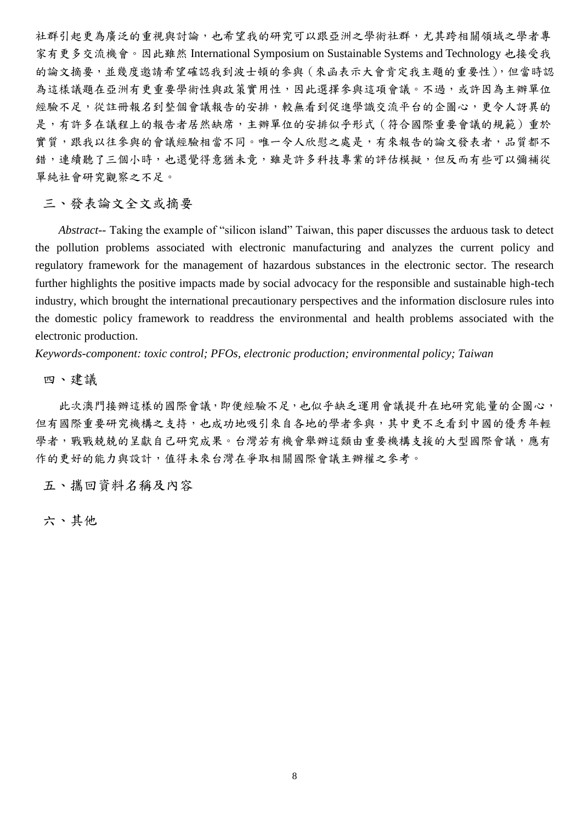社群引起更為廣泛的重視與討論,也希望我的研究可以跟亞洲之學術社群,尤其跨相關領域之學者專 家有更多交流機會。因此雖然 International Symposium on Sustainable Systems and Technology 也接受我 的論文摘要,並幾度邀請希望確認我到波士頓的參與(來函表示大會肯定我主題的重要性),但當時認 為這樣議題在亞洲有更重要學術性與政策實用性,因此選擇參與這項會議。不過,或許因為主辦單位 經驗不足,從註冊報名到整個會議報告的安排,較無看到促進學識交流平台的企圖心,更令人訝異的 是,有許多在議程上的報告者居然缺席,主辦單位的安排似乎形式(符合國際重要會議的規範)重於 實質,跟我以往參與的會議經驗相當不同。唯一令人欣慰之處是,有來報告的論文發表者,品質都不 錯,連續聽了三個小時,也還覺得意猶未竟,雖是許多科技專業的評估模擬,但反而有些可以彌補從 單純社會研究觀察之不足。

三、發表論文全文或摘要

*Abstract--* Taking the example of "silicon island" Taiwan, this paper discusses the arduous task to detect the pollution problems associated with electronic manufacturing and analyzes the current policy and regulatory framework for the management of hazardous substances in the electronic sector. The research further highlights the positive impacts made by social advocacy for the responsible and sustainable high-tech industry, which brought the international precautionary perspectives and the information disclosure rules into the domestic policy framework to readdress the environmental and health problems associated with the electronic production.

*Keywords-component: toxic control; PFOs, electronic production; environmental policy; Taiwan*

四、建議

此次澳門接辦這樣的國際會議,即便經驗不足,也似乎缺乏運用會議提升在地研究能量的企圖心, 但有國際重要研究機構之支持,也成功地吸引來自各地的學者參與,其中更不乏看到中國的優秀年輕 學者,戰戰兢兢的呈獻自己研究成果。台灣若有機會舉辦這類由重要機構支援的大型國際會議,應有 作的更好的能力與設計,值得未來台灣在爭取相關國際會議主辦權之參考。

五、攜回資料名稱及內容

六、其他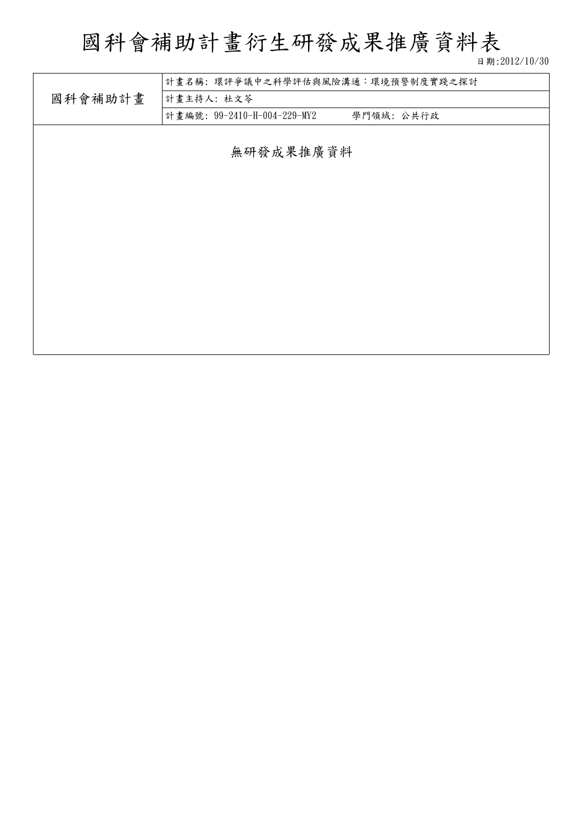# 國科會補助計畫衍生研發成果推廣資料表

日期:2012/10/30

|         | 計畫名稱:環評爭議中之科學評估與風險溝通:環境預警制度實踐之探討          |
|---------|-------------------------------------------|
| 國科會補助計畫 | 計畫主持人: 杜文苓                                |
|         | 計畫編號: 99-2410-H-004-229-MY2<br>學門領域: 公共行政 |
|         |                                           |
|         | 無研發成果推廣資料                                 |
|         |                                           |
|         |                                           |
|         |                                           |
|         |                                           |
|         |                                           |
|         |                                           |
|         |                                           |
|         |                                           |
|         |                                           |
|         |                                           |
|         |                                           |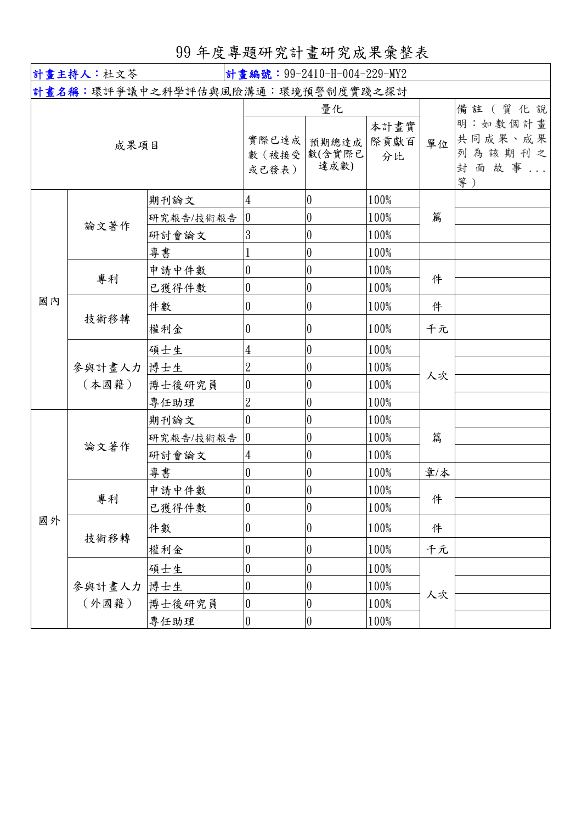# 99 年度專題研究計畫研究成果彙整表

| 計畫主持人:杜文苓<br>計畫編號: 99-2410-H-004-229-MY2 |                 |           |                          |                               |                    |     |                                                       |
|------------------------------------------|-----------------|-----------|--------------------------|-------------------------------|--------------------|-----|-------------------------------------------------------|
| 計畫名稱:環評爭議中之科學評估與風險溝通︰環境預警制度實踐之探討         |                 |           |                          |                               |                    |     |                                                       |
|                                          | 成果項目            |           | 實際已達成<br>數 (被接受<br>或已發表) | 量化<br>預期總達成<br>數(含實際已<br>達成數) | 本計畫實<br>際貢獻百<br>分比 | 單位  | 備註 (質化說<br>明:如數個計畫<br>共同成果、成果<br>列為該期刊之<br>封面故事<br>等) |
|                                          |                 | 期刊論文      | 4                        | $\overline{0}$                | 100%               |     |                                                       |
|                                          | 論文著作            | 研究報告/技術報告 | 0                        | $\overline{0}$                | 100%               | 篇   |                                                       |
|                                          |                 | 研討會論文     | 3                        | $\overline{0}$                | 100%               |     |                                                       |
|                                          |                 | 專書        |                          | $\overline{0}$                | 100%               |     |                                                       |
|                                          | 專利              | 申請中件數     | 0                        | $\boldsymbol{0}$              | 100%               | 件   |                                                       |
|                                          |                 | 已獲得件數     | $\boldsymbol{0}$         | $\overline{0}$                | 100%               |     |                                                       |
| 國內                                       |                 | 件數        | $\theta$                 | $\overline{0}$                | 100%               | 件   |                                                       |
|                                          | 技術移轉            | 權利金       | $\theta$                 | $\overline{0}$                | 100%               | 千元  |                                                       |
|                                          |                 | 碩士生       | $\overline{4}$           | $\overline{0}$                | 100%               | 人次  |                                                       |
|                                          | 參與計畫人力<br>(本國籍) | 博士生       | $\overline{2}$           | $\overline{0}$                | 100%               |     |                                                       |
|                                          |                 | 博士後研究員    | $\boldsymbol{0}$         | $\overline{0}$                | 100%               |     |                                                       |
|                                          |                 | 專任助理      | $\overline{2}$           | $\overline{0}$                | 100%               |     |                                                       |
|                                          |                 | 期刊論文      | $\overline{0}$           | $\overline{0}$                | 100%               |     |                                                       |
|                                          | 論文著作            | 研究報告/技術報告 | $\overline{0}$           | $\overline{0}$                | 100%               | 篇   |                                                       |
|                                          |                 | 研討會論文     | 4                        | $\overline{0}$                | 100%               |     |                                                       |
|                                          |                 | 專書        | $\boldsymbol{0}$         | $\overline{0}$                | 100%               | 章/本 |                                                       |
|                                          | 專利              | 申請中件數     | $\boldsymbol{0}$         | $\overline{0}$                | 100%               | 件   |                                                       |
|                                          |                 | 已獲得件數     | $\overline{0}$           | $\vert$ 0                     | 100%               |     |                                                       |
| 國外                                       | 技術移轉            | 件數        | 0                        | $\overline{0}$                | 100%               | 件   |                                                       |
|                                          |                 | 權利金       | $\boldsymbol{0}$         | $\overline{\mathbf{0}}$       | 100%               | 千元  |                                                       |
|                                          |                 | 碩士生       | $\boldsymbol{0}$         | $\overline{0}$                | 100%               | 人次  |                                                       |
|                                          | 參與計畫人力          | 博士生       | $\boldsymbol{0}$         | $\overline{0}$                | 100%               |     |                                                       |
|                                          | (外國籍)           | 博士後研究員    | $\boldsymbol{0}$         | $\overline{0}$                | 100%               |     |                                                       |
|                                          |                 | 專任助理      | $\boldsymbol{0}$         | $\boldsymbol{0}$              | 100%               |     |                                                       |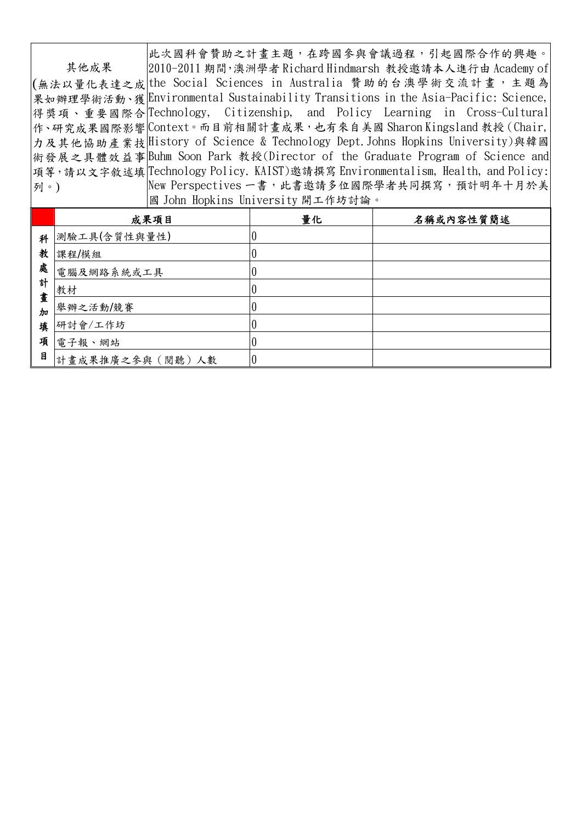其他成果 (無法以量化表達之成|the Social Sciences in Australia 贊助的台澳學術交流計畫,主題為 果如辦理學術活動、獲Environmental Sustainability Transitions in the Asia-Pacific: Science,| 得獎項、重要國際合 作、研究成果國際影響 Context。而目前相關計畫成果,也有來自美國 Sharon Kingsland 教授 (Chair, | 力及其他協助產業技 History of Science & Technology Dept.Johns Hopkins University)與韓國 術發展之具體效益事 Buhm Soon Park 教授(Director of the Graduate Program of Science and 項等,請以文字敘述填 Technology Policy. KAIST)邀請撰寫 Environmentalism, Health, and Policy: 列。) 此次國科會贊助之計畫主題,在跨國參與會議過程,引起國際合作的興趣。 2010-2011 期間,澳洲學者 Richard Hindmarsh 教授邀請本人進行由 Academy of Citizenship, and Policy Learning in Cross-Cultural New Perspectives 一書,此書邀請多位國際學者共同撰寫,預計明年十月於美 國 John Hopkins University 開工作坊討論。

|         | 成果項目            | 量化 | 名稱或內容性質簡述 |
|---------|-----------------|----|-----------|
| 科       | 測驗工具(含質性與量性)    |    |           |
| 教       | 課程/模組           |    |           |
| 處       | 電腦及網路系統或工具      |    |           |
| 計<br>畫  | 教材              |    |           |
| $\hbar$ | 舉辦之活動/競賽        |    |           |
| 填       | 研討會/工作坊         |    |           |
| 項       | 電子報、網站          |    |           |
| 目       | 計畫成果推廣之參與(閱聽)人數 |    |           |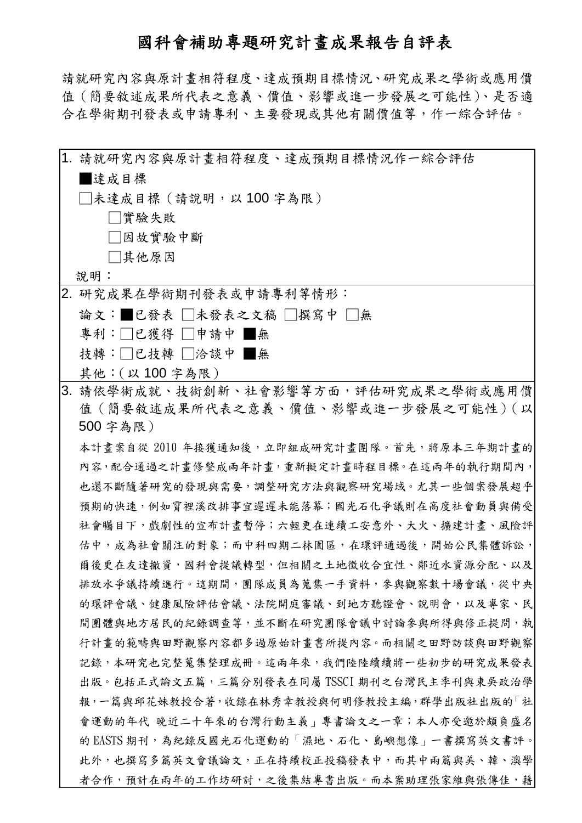# 國科會補助專題研究計畫成果報告自評表

請就研究內容與原計畫相符程度、達成預期目標情況、研究成果之學術或應用價 值(簡要敘述成果所代表之意義、價值、影響或進一步發展之可能性)、是否適 合在學術期刊發表或申請專利、主要發現或其他有關價值等,作一綜合評估。

| 1. 請就研究內容與原計畫相符程度、達成預期目標情況作一綜合評估            |
|---------------------------------------------|
| 達成目標                                        |
| □未達成目標(請說明,以 100 字為限)                       |
| □實驗失敗                                       |
| □因故實驗中斷                                     |
| □其他原因                                       |
| 說明:                                         |
| 2. 研究成果在學術期刊發表或申請專利等情形:                     |
| 論文:■已發表 □未發表之文稿 □撰寫中 □無                     |
| 專利:□已獲得 □申請中 ■無                             |
| 技轉:□已技轉 □洽談中 ■無                             |
| 其他: (以100字為限)                               |
| 3. 請依學術成就、技術創新、社會影響等方面,評估研究成果之學術或應用價        |
| 值 (簡要敘述成果所代表之意義、價值、影響或進一步發展之可能性) (以         |
| 500 字為限)                                    |
| 本計畫案自從 2010 年接獲通知後,立即組成研究計畫團隊。首先,將原本三年期計畫的  |
| 内容,配合通過之計畫修整成兩年計畫,重新擬定計畫時程目標。在這兩年的執行期間內,    |
| 也還不斷隨著研究的發現與需要,調整研究方法與觀察研究場域。尤其一些個案發展超乎     |
| 預期的快速,例如霄裡溪改排事宜遲遲未能落幕;國光石化爭議則在高度社會動員與備受     |
| 社會矚目下,戲劇性的宣布計書暫停;六輕更在連續工安意外、大火、擴建計書、風險評     |
| 估中,成為社會關注的對象;而中科四期二林園區,在環評通過後,開始公民集體訴訟,     |
| 爾後更在友達撤資,國科會提議轉型,但相關之土地徵收合宜性、鄰近水資源分配、以及     |
| 排放水爭議持續進行。這期間,團隊成員為蒐集一手資料,參與觀察數十場會議,從中央     |
| 的環評會議、健康風險評估會議、法院開庭審議、到地方聽證會、說明會,以及專家、民     |
| 間團體與地方居民的紀錄調查等,並不斷在研究團隊會議中討論參與所得與修正提問,執     |
| 行計畫的範疇與田野觀察內容都多過原始計畫書所提內容。而相關之田野訪談與田野觀察     |
| 記錄,本研究也完整蒐集整理成冊。這兩年來,我們陸陸續續將一些初步的研究成果發表     |
| 出版。包括正式論文五篇,三篇分別發表在同屬 TSSCI 期刊之台灣民主季刊與東吳政治學 |
| 報,一篇與邱花妹教授合著,收錄在林秀幸教授與何明修教授主編,群學出版社出版的「社    |
| 會運動的年代 晚近二十年來的台灣行動主義」專書論文之一章;本人亦受邀於頗負盛名     |
| 的 EASTS 期刊,為紀錄反國光石化運動的「濕地、石化、島嶼想像」一書撰寫英文書評。 |
| 此外,也撰寫多篇英文會議論文,正在持續校正投稿發表中,而其中兩篇與美、韓、澳學     |
| 者合作,預計在兩年的工作坊研討,之後集結專書出版。而本案助理張家維與張傳佳,藉     |